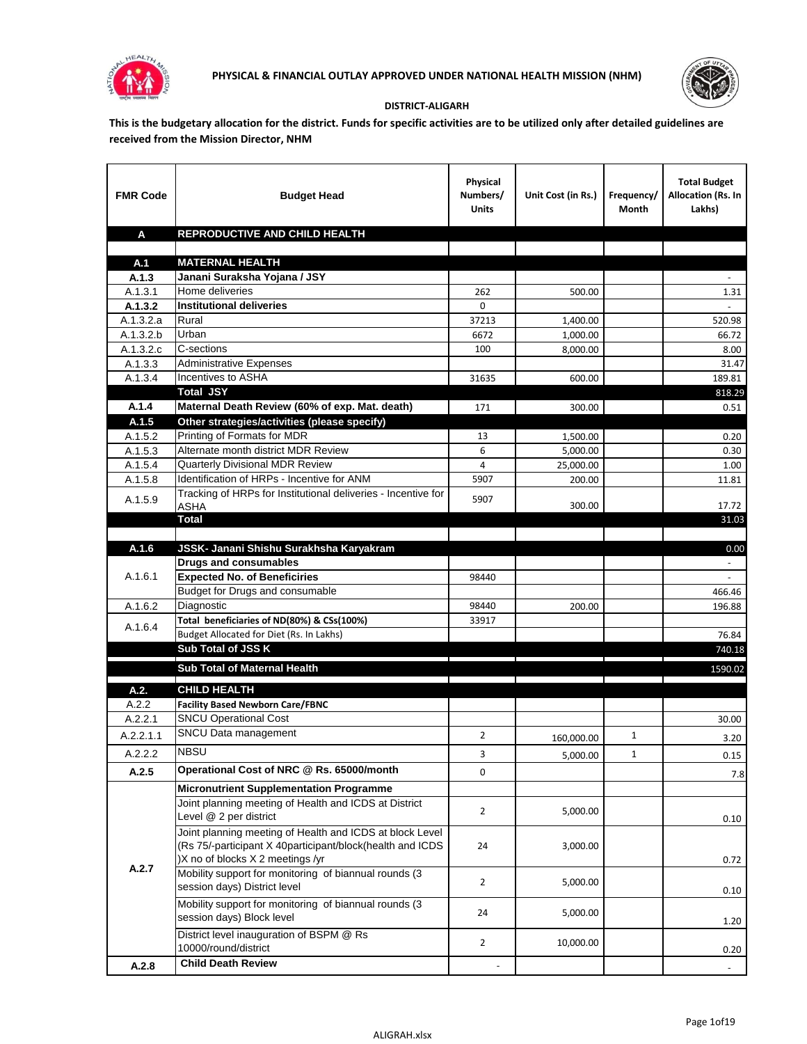



## **DISTRICT-ALIGARH**

**This is the budgetary allocation for the district. Funds for specific activities are to be utilized only after detailed guidelines are received from the Mission Director, NHM**

| <b>FMR Code</b>    | <b>Budget Head</b>                                                     | Physical<br>Numbers/<br><b>Units</b> | Unit Cost (in Rs.) | Frequency/<br>Month | <b>Total Budget</b><br>Allocation (Rs. In<br>Lakhs) |
|--------------------|------------------------------------------------------------------------|--------------------------------------|--------------------|---------------------|-----------------------------------------------------|
| A                  | REPRODUCTIVE AND CHILD HEALTH                                          |                                      |                    |                     |                                                     |
|                    |                                                                        |                                      |                    |                     |                                                     |
| A.1                | <b>MATERNAL HEALTH</b>                                                 |                                      |                    |                     |                                                     |
| A.1.3              | Janani Suraksha Yojana / JSY                                           |                                      |                    |                     |                                                     |
| A.1.3.1<br>A.1.3.2 | Home deliveries<br><b>Institutional deliveries</b>                     | 262<br>0                             | 500.00             |                     | 1.31                                                |
| A.1.3.2.a          | Rural                                                                  | 37213                                | 1,400.00           |                     | 520.98                                              |
| A.1.3.2.b          | Urban                                                                  | 6672                                 | 1,000.00           |                     | 66.72                                               |
| A.1.3.2.c          | C-sections                                                             | 100                                  | 8,000.00           |                     | 8.00                                                |
| A.1.3.3            | <b>Administrative Expenses</b>                                         |                                      |                    |                     | 31.47                                               |
| A.1.3.4            | Incentives to ASHA                                                     | 31635                                | 600.00             |                     | 189.81                                              |
|                    | <b>Total JSY</b>                                                       |                                      |                    |                     | 818.29                                              |
| A.1.4              | Maternal Death Review (60% of exp. Mat. death)                         | 171                                  | 300.00             |                     | 0.51                                                |
| A.1.5              | Other strategies/activities (please specify)                           |                                      |                    |                     |                                                     |
| A.1.5.2            | Printing of Formats for MDR                                            | 13                                   | 1.500.00           |                     | 0.20                                                |
| A.1.5.3            | Alternate month district MDR Review                                    | 6                                    | 5,000.00           |                     | 0.30                                                |
| A.1.5.4            | <b>Quarterly Divisional MDR Review</b>                                 | 4                                    | 25,000.00          |                     | 1.00                                                |
| A.1.5.8            | Identification of HRPs - Incentive for ANM                             | 5907                                 | 200.00             |                     | 11.81                                               |
| A.1.5.9            | Tracking of HRPs for Institutional deliveries - Incentive for          | 5907                                 |                    |                     |                                                     |
|                    | <b>ASHA</b>                                                            |                                      | 300.00             |                     | 17.72                                               |
|                    | <b>Total</b>                                                           |                                      |                    |                     | 31.03                                               |
|                    |                                                                        |                                      |                    |                     |                                                     |
| A.1.6              | JSSK- Janani Shishu Surakhsha Karyakram                                |                                      |                    |                     | 0.00                                                |
| A.1.6.1            | <b>Drugs and consumables</b>                                           |                                      |                    |                     |                                                     |
|                    | <b>Expected No. of Beneficiries</b><br>Budget for Drugs and consumable | 98440                                |                    |                     | 466.46                                              |
| A.1.6.2            | Diagnostic                                                             | 98440                                | 200.00             |                     | 196.88                                              |
|                    | Total beneficiaries of ND(80%) & CSs(100%)                             | 33917                                |                    |                     |                                                     |
| A.1.6.4            | Budget Allocated for Diet (Rs. In Lakhs)                               |                                      |                    |                     | 76.84                                               |
|                    | Sub Total of JSS K                                                     |                                      |                    |                     | 740.18                                              |
|                    |                                                                        |                                      |                    |                     |                                                     |
|                    | Sub Total of Maternal Health                                           |                                      |                    |                     | 1590.02                                             |
| A.2.               | <b>CHILD HEALTH</b>                                                    |                                      |                    |                     |                                                     |
| A.2.2              | <b>Facility Based Newborn Care/FBNC</b>                                |                                      |                    |                     |                                                     |
| A.2.2.1            | <b>SNCU Operational Cost</b>                                           |                                      |                    |                     | 30.00                                               |
| A.2.2.1.1          | SNCU Data management                                                   | 2                                    | 160,000.00         | $\mathbf{1}$        | 3.20                                                |
| A.2.2.2            | <b>NBSU</b>                                                            | 3                                    | 5,000.00           | 1                   | 0.15                                                |
| A.2.5              | Operational Cost of NRC @ Rs. 65000/month                              | 0                                    |                    |                     | 7.8                                                 |
|                    | <b>Micronutrient Supplementation Programme</b>                         |                                      |                    |                     |                                                     |
|                    | Joint planning meeting of Health and ICDS at District                  |                                      |                    |                     |                                                     |
|                    | Level @ 2 per district                                                 | $\overline{2}$                       | 5,000.00           |                     | 0.10                                                |
|                    | Joint planning meeting of Health and ICDS at block Level               |                                      |                    |                     |                                                     |
|                    | (Rs 75/-participant X 40participant/block(health and ICDS              | 24                                   | 3,000.00           |                     |                                                     |
|                    | )X no of blocks X 2 meetings /yr                                       |                                      |                    |                     | 0.72                                                |
| A.2.7              | Mobility support for monitoring of biannual rounds (3                  |                                      |                    |                     |                                                     |
|                    | session days) District level                                           | $\overline{2}$                       | 5,000.00           |                     | 0.10                                                |
|                    | Mobility support for monitoring of biannual rounds (3)                 |                                      |                    |                     |                                                     |
|                    | session days) Block level                                              | 24                                   | 5,000.00           |                     | 1.20                                                |
|                    | District level inauguration of BSPM @ Rs                               |                                      |                    |                     |                                                     |
|                    | 10000/round/district                                                   | $\overline{2}$                       | 10,000.00          |                     | 0.20                                                |
| A.2.8              | <b>Child Death Review</b>                                              |                                      |                    |                     | $\overline{\phantom{a}}$                            |
|                    |                                                                        |                                      |                    |                     |                                                     |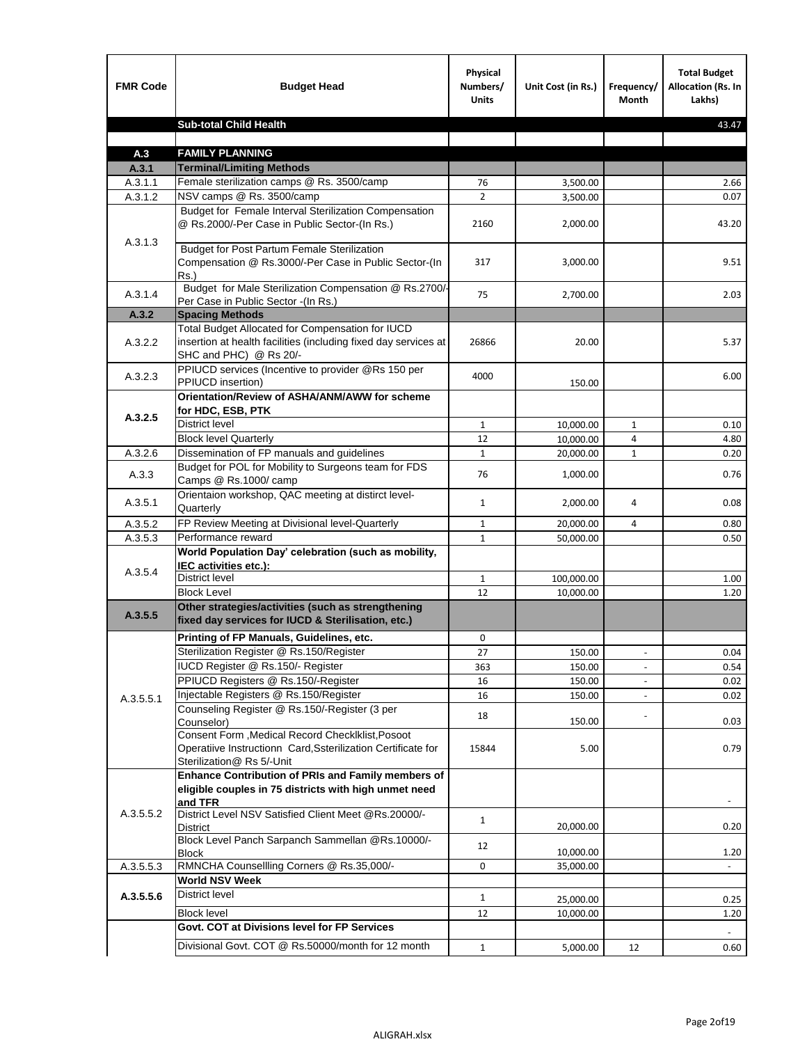| <b>FMR Code</b> | <b>Budget Head</b>                                                                                                                            | Physical<br>Numbers/<br><b>Units</b> | Unit Cost (in Rs.) | Frequency/<br><b>Month</b> | <b>Total Budget</b><br>Allocation (Rs. In<br>Lakhs) |
|-----------------|-----------------------------------------------------------------------------------------------------------------------------------------------|--------------------------------------|--------------------|----------------------------|-----------------------------------------------------|
|                 | <b>Sub-total Child Health</b>                                                                                                                 |                                      |                    |                            | 43.47                                               |
|                 |                                                                                                                                               |                                      |                    |                            |                                                     |
| A.3             | <b>FAMILY PLANNING</b>                                                                                                                        |                                      |                    |                            |                                                     |
| A.3.1           | <b>Terminal/Limiting Methods</b>                                                                                                              |                                      |                    |                            |                                                     |
| A.3.1.1         | Female sterilization camps @ Rs. 3500/camp                                                                                                    | 76                                   | 3,500.00           |                            | 2.66                                                |
| A.3.1.2         | NSV camps @ Rs. 3500/camp<br>Budget for Female Interval Sterilization Compensation                                                            | $\overline{2}$                       | 3,500.00           |                            | 0.07                                                |
| A.3.1.3         | @ Rs.2000/-Per Case in Public Sector-(In Rs.)                                                                                                 | 2160                                 | 2,000.00           |                            | 43.20                                               |
|                 | <b>Budget for Post Partum Female Sterilization</b><br>Compensation @ Rs.3000/-Per Case in Public Sector-(In<br>$Rs.$ )                        | 317                                  | 3,000.00           |                            | 9.51                                                |
| A.3.1.4         | Budget for Male Sterilization Compensation @ Rs.2700/-<br>Per Case in Public Sector -(In Rs.)                                                 | 75                                   | 2,700.00           |                            | 2.03                                                |
| A.3.2           | <b>Spacing Methods</b>                                                                                                                        |                                      |                    |                            |                                                     |
| A.3.2.2         | Total Budget Allocated for Compensation for IUCD<br>insertion at health facilities (including fixed day services at<br>SHC and PHC) @ Rs 20/- | 26866                                | 20.00              |                            | 5.37                                                |
| A.3.2.3         | PPIUCD services (Incentive to provider @Rs 150 per<br>PPIUCD insertion)                                                                       | 4000                                 | 150.00             |                            | 6.00                                                |
|                 | Orientation/Review of ASHA/ANM/AWW for scheme<br>for HDC, ESB, PTK                                                                            |                                      |                    |                            |                                                     |
| A.3.2.5         | <b>District level</b>                                                                                                                         | $\mathbf{1}$                         | 10,000.00          | $\mathbf{1}$               | 0.10                                                |
|                 | <b>Block level Quarterly</b>                                                                                                                  | 12                                   | 10,000.00          | 4                          | 4.80                                                |
| A.3.2.6         | Dissemination of FP manuals and guidelines                                                                                                    | $\mathbf{1}$                         | 20,000.00          | $\mathbf{1}$               | 0.20                                                |
| A.3.3           | Budget for POL for Mobility to Surgeons team for FDS<br>Camps @ Rs.1000/ camp                                                                 | 76                                   | 1,000.00           |                            | 0.76                                                |
| A.3.5.1         | Orientaion workshop, QAC meeting at distirct level-<br>Quarterly                                                                              | $\mathbf{1}$                         | 2,000.00           | 4                          | 0.08                                                |
| A.3.5.2         | FP Review Meeting at Divisional level-Quarterly                                                                                               | $\mathbf{1}$                         | 20,000.00          | 4                          | 0.80                                                |
| A.3.5.3         | Performance reward                                                                                                                            | $\mathbf{1}$                         | 50,000.00          |                            | 0.50                                                |
| A.3.5.4         | World Population Day' celebration (such as mobility,<br>IEC activities etc.):                                                                 |                                      |                    |                            |                                                     |
|                 | District level                                                                                                                                | $\mathbf{1}$                         | 100,000.00         |                            | 1.00                                                |
|                 | <b>Block Level</b>                                                                                                                            | 12                                   | 10.000.00          |                            | 1.20                                                |
| A.3.5.5         | Other strategies/activities (such as strengthening<br>fixed day services for IUCD & Sterilisation, etc.)                                      |                                      |                    |                            |                                                     |
|                 | Printing of FP Manuals, Guidelines, etc.                                                                                                      | 0                                    |                    |                            |                                                     |
|                 | Sterilization Register @ Rs.150/Register                                                                                                      | 27                                   | 150.00             | $\centerdot$               | 0.04                                                |
|                 | IUCD Register @ Rs.150/- Register                                                                                                             | 363                                  | 150.00             |                            | 0.54                                                |
|                 | PPIUCD Registers @ Rs.150/-Register                                                                                                           | 16                                   | 150.00             |                            | 0.02                                                |
| A.3.5.5.1       | Injectable Registers @ Rs.150/Register                                                                                                        | 16                                   | 150.00             |                            | 0.02                                                |
|                 | Counseling Register @ Rs.150/-Register (3 per<br>Counselor)<br>Consent Form , Medical Record CheckIklist, Posoot                              | 18                                   | 150.00             |                            | 0.03                                                |
|                 | Operatiive Instructionn Card, Ssterilization Certificate for<br>Sterilization@ Rs 5/-Unit                                                     | 15844                                | 5.00               |                            | 0.79                                                |
|                 | Enhance Contribution of PRIs and Family members of<br>eligible couples in 75 districts with high unmet need<br>and TFR                        |                                      |                    |                            |                                                     |
| A.3.5.5.2       | District Level NSV Satisfied Client Meet @Rs.20000/-<br>District                                                                              | $\mathbf{1}$                         | 20,000.00          |                            | 0.20                                                |
|                 | Block Level Panch Sarpanch Sammellan @Rs.10000/-<br><b>Block</b>                                                                              | 12                                   | 10,000.00          |                            | 1.20                                                |
| A.3.5.5.3       | RMNCHA Counsellling Corners @ Rs.35,000/-                                                                                                     | 0                                    | 35,000.00          |                            |                                                     |
|                 | <b>World NSV Week</b>                                                                                                                         |                                      |                    |                            |                                                     |
| A.3.5.5.6       | <b>District level</b>                                                                                                                         | $\mathbf{1}$                         | 25,000.00          |                            | 0.25                                                |
|                 | <b>Block level</b>                                                                                                                            | 12                                   | 10,000.00          |                            | 1.20                                                |
|                 | Govt. COT at Divisions level for FP Services                                                                                                  |                                      |                    |                            |                                                     |
|                 | Divisional Govt. COT @ Rs.50000/month for 12 month                                                                                            | $\mathbf{1}$                         | 5,000.00           | 12                         | 0.60                                                |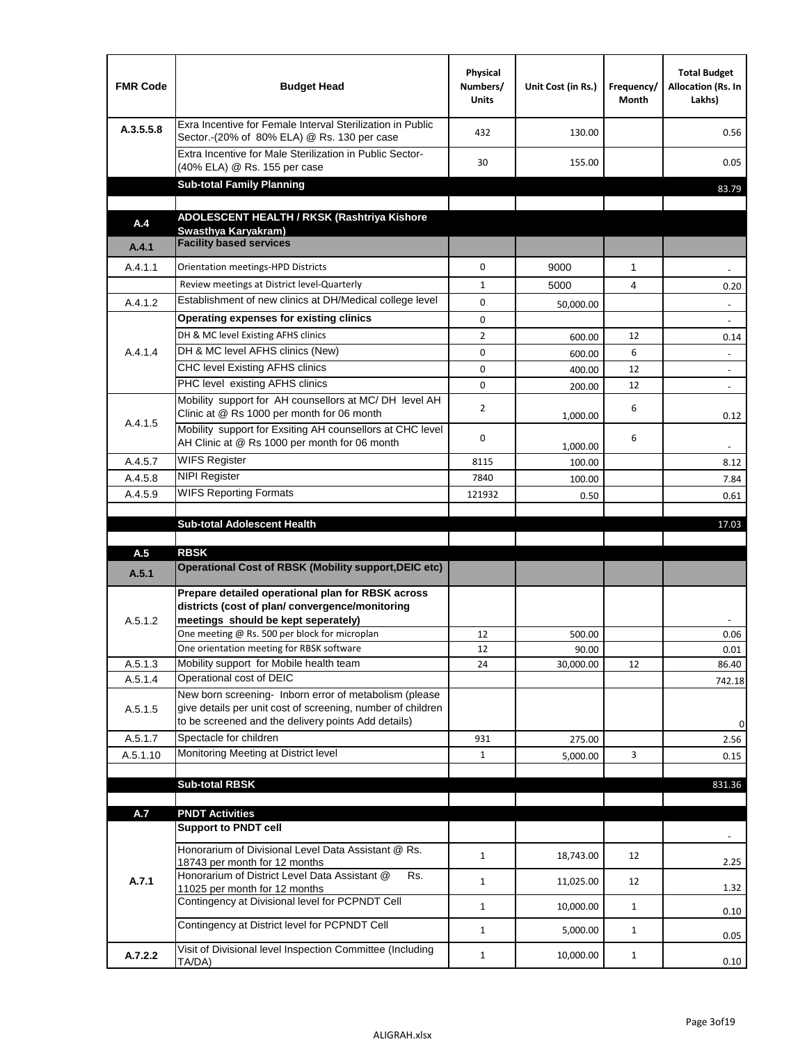| <b>FMR Code</b> | <b>Budget Head</b>                                                                                                                                                                          | Physical<br>Numbers/<br><b>Units</b> | Unit Cost (in Rs.) | Frequency/<br>Month | <b>Total Budget</b><br>Allocation (Rs. In<br>Lakhs) |
|-----------------|---------------------------------------------------------------------------------------------------------------------------------------------------------------------------------------------|--------------------------------------|--------------------|---------------------|-----------------------------------------------------|
| A.3.5.5.8       | Exra Incentive for Female Interval Sterilization in Public<br>Sector.-(20% of 80% ELA) @ Rs. 130 per case                                                                                   | 432                                  | 130.00             |                     | 0.56                                                |
|                 | Extra Incentive for Male Sterilization in Public Sector-<br>(40% ELA) @ Rs. 155 per case                                                                                                    | 30                                   | 155.00             |                     | 0.05                                                |
|                 | <b>Sub-total Family Planning</b>                                                                                                                                                            |                                      |                    |                     | 83.79                                               |
|                 | ADOLESCENT HEALTH / RKSK (Rashtriya Kishore                                                                                                                                                 |                                      |                    |                     |                                                     |
| A.4             | Swasthya Karyakram)                                                                                                                                                                         |                                      |                    |                     |                                                     |
| A.4.1           | <b>Facility based services</b>                                                                                                                                                              |                                      |                    |                     |                                                     |
| A.4.1.1         | Orientation meetings-HPD Districts                                                                                                                                                          | $\Omega$                             | 9000               | $\mathbf{1}$        |                                                     |
|                 | Review meetings at District level-Quarterly                                                                                                                                                 | $\mathbf{1}$                         | 5000               | 4                   | 0.20                                                |
| A.4.1.2         | Establishment of new clinics at DH/Medical college level                                                                                                                                    | $\Omega$                             | 50,000.00          |                     |                                                     |
|                 | Operating expenses for existing clinics                                                                                                                                                     | 0                                    |                    |                     |                                                     |
|                 | DH & MC level Existing AFHS clinics                                                                                                                                                         | $\overline{2}$                       | 600.00             | 12                  | 0.14                                                |
| A.4.1.4         | DH & MC level AFHS clinics (New)                                                                                                                                                            | 0                                    | 600.00             | 6                   | $\overline{\phantom{a}}$                            |
|                 | CHC level Existing AFHS clinics                                                                                                                                                             | 0                                    | 400.00             | 12                  | $\overline{\phantom{a}}$                            |
|                 | PHC level existing AFHS clinics                                                                                                                                                             | $\Omega$                             | 200.00             | 12                  | $\sim$                                              |
| A.4.1.5         | Mobility support for AH counsellors at MC/DH level AH<br>Clinic at @ Rs 1000 per month for 06 month                                                                                         | 2                                    | 1,000.00           | 6                   | 0.12                                                |
|                 | Mobility support for Exsiting AH counsellors at CHC level<br>AH Clinic at @ Rs 1000 per month for 06 month                                                                                  | 0                                    | 1,000.00           | 6                   |                                                     |
| A.4.5.7         | <b>WIFS Register</b>                                                                                                                                                                        | 8115                                 | 100.00             |                     | 8.12                                                |
| A.4.5.8         | <b>NIPI Register</b>                                                                                                                                                                        | 7840                                 | 100.00             |                     | 7.84                                                |
| A.4.5.9         | <b>WIFS Reporting Formats</b>                                                                                                                                                               | 121932                               | 0.50               |                     | 0.61                                                |
|                 | <b>Sub-total Adolescent Health</b>                                                                                                                                                          |                                      |                    |                     | 17.03                                               |
| A.5             | <b>RBSK</b>                                                                                                                                                                                 |                                      |                    |                     |                                                     |
| A.5.1           | <b>Operational Cost of RBSK (Mobility support, DEIC etc)</b>                                                                                                                                |                                      |                    |                     |                                                     |
| A.5.1.2         | Prepare detailed operational plan for RBSK across<br>districts (cost of plan/convergence/monitoring<br>meetings should be kept seperately)<br>One meeting @ Rs. 500 per block for microplan | 12                                   | 500.00             |                     | 0.06                                                |
|                 | One orientation meeting for RBSK software                                                                                                                                                   | 12                                   | 90.00              |                     | 0.01                                                |
| A.5.1.3         | Mobility support for Mobile health team                                                                                                                                                     | 24                                   | 30,000.00          | 12                  | 86.40                                               |
| A.5.1.4         | Operational cost of DEIC                                                                                                                                                                    |                                      |                    |                     | 742.18                                              |
| A.5.1.5         | New born screening- Inborn error of metabolism (please<br>give details per unit cost of screening, number of children<br>to be screened and the delivery points Add details)                |                                      |                    |                     | 0                                                   |
| A.5.1.7         | Spectacle for children                                                                                                                                                                      | 931                                  | 275.00             |                     | 2.56                                                |
| A.5.1.10        | Monitoring Meeting at District level                                                                                                                                                        | $\mathbf{1}$                         | 5,000.00           | 3                   | 0.15                                                |
|                 |                                                                                                                                                                                             |                                      |                    |                     |                                                     |
|                 | <b>Sub-total RBSK</b>                                                                                                                                                                       |                                      |                    |                     | 831.36                                              |
| A.7             | <b>PNDT Activities</b>                                                                                                                                                                      |                                      |                    |                     |                                                     |
|                 | <b>Support to PNDT cell</b>                                                                                                                                                                 |                                      |                    |                     |                                                     |
|                 | Honorarium of Divisional Level Data Assistant @ Rs.<br>18743 per month for 12 months                                                                                                        | $\mathbf{1}$                         | 18,743.00          | 12                  | 2.25                                                |
| A.7.1           | Honorarium of District Level Data Assistant @<br>Rs.                                                                                                                                        | $\mathbf{1}$                         | 11,025.00          | 12                  |                                                     |
|                 | 11025 per month for 12 months<br>Contingency at Divisional level for PCPNDT Cell                                                                                                            | $\mathbf{1}$                         | 10,000.00          | $\mathbf{1}$        | 1.32<br>0.10                                        |
|                 | Contingency at District level for PCPNDT Cell                                                                                                                                               | $\mathbf{1}$                         | 5,000.00           | $\mathbf{1}$        |                                                     |
|                 |                                                                                                                                                                                             |                                      |                    |                     | 0.05                                                |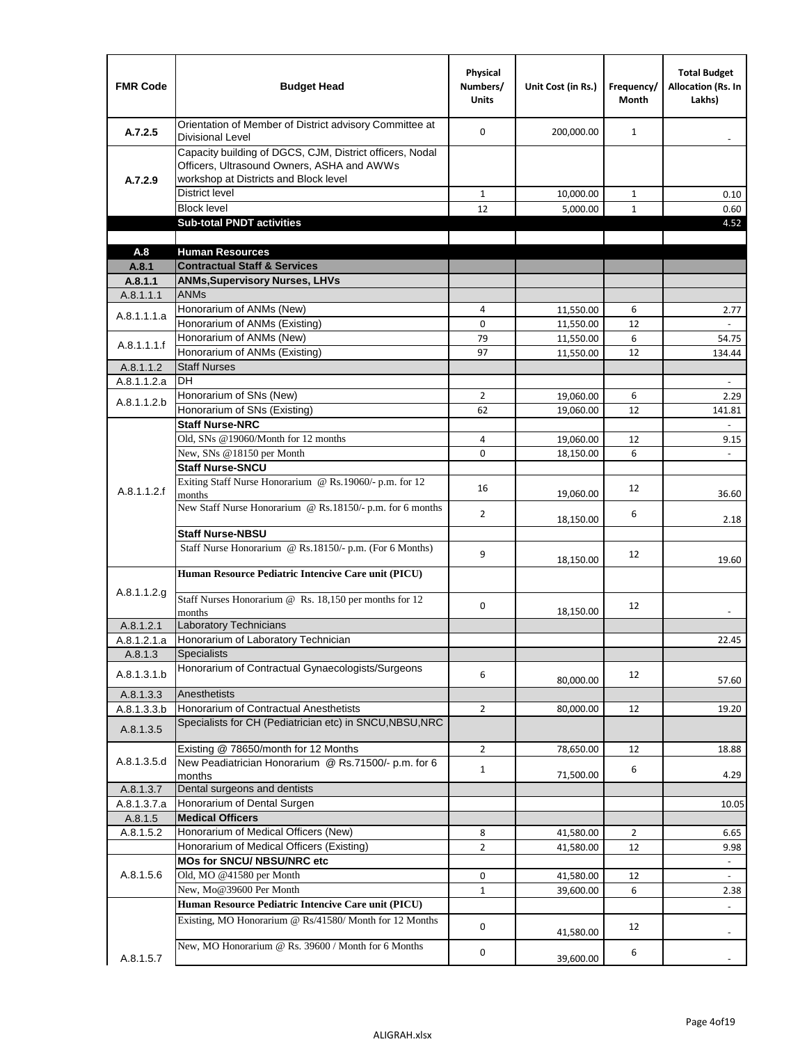| <b>FMR Code</b>      | <b>Budget Head</b>                                                                                                                              | Physical<br>Numbers/<br><b>Units</b> | Unit Cost (in Rs.)     | Frequency/<br>Month | <b>Total Budget</b><br><b>Allocation (Rs. In</b><br>Lakhs) |
|----------------------|-------------------------------------------------------------------------------------------------------------------------------------------------|--------------------------------------|------------------------|---------------------|------------------------------------------------------------|
| A.7.2.5              | Orientation of Member of District advisory Committee at<br><b>Divisional Level</b>                                                              | $\Omega$                             | 200,000.00             | $\mathbf{1}$        | $\overline{\phantom{m}}$                                   |
| A.7.2.9              | Capacity building of DGCS, CJM, District officers, Nodal<br>Officers, Ultrasound Owners, ASHA and AWWs<br>workshop at Districts and Block level |                                      |                        |                     |                                                            |
|                      | <b>District level</b>                                                                                                                           | $\mathbf{1}$                         | 10,000.00              | $\mathbf{1}$        | 0.10                                                       |
|                      | <b>Block level</b>                                                                                                                              | 12                                   | 5,000.00               | $\mathbf{1}$        | 0.60                                                       |
|                      | <b>Sub-total PNDT activities</b>                                                                                                                |                                      |                        |                     | 4.52                                                       |
|                      |                                                                                                                                                 |                                      |                        |                     |                                                            |
| A.8                  | <b>Human Resources</b>                                                                                                                          |                                      |                        |                     |                                                            |
| A.8.1                | <b>Contractual Staff &amp; Services</b>                                                                                                         |                                      |                        |                     |                                                            |
| A.8.1.1<br>A.8.1.1.1 | <b>ANMs, Supervisory Nurses, LHVs</b><br><b>ANMs</b>                                                                                            |                                      |                        |                     |                                                            |
|                      | Honorarium of ANMs (New)                                                                                                                        | 4                                    |                        | 6                   | 2.77                                                       |
| A.8.1.1.1.a          | Honorarium of ANMs (Existing)                                                                                                                   | 0                                    | 11,550.00<br>11,550.00 | 12                  |                                                            |
|                      | Honorarium of ANMs (New)                                                                                                                        | 79                                   | 11,550.00              | 6                   | 54.75                                                      |
| A.8.1.1.1.f          | Honorarium of ANMs (Existing)                                                                                                                   | 97                                   | 11,550.00              | 12                  | 134.44                                                     |
| A.8.1.1.2            | <b>Staff Nurses</b>                                                                                                                             |                                      |                        |                     |                                                            |
| A.8.1.1.2.a          | <b>DH</b>                                                                                                                                       |                                      |                        |                     | $\blacksquare$                                             |
|                      | Honorarium of SNs (New)                                                                                                                         | $\overline{2}$                       | 19,060.00              | 6                   | 2.29                                                       |
| A.8.1.1.2.b          | Honorarium of SNs (Existing)                                                                                                                    | 62                                   | 19,060.00              | 12                  | 141.81                                                     |
|                      | <b>Staff Nurse-NRC</b>                                                                                                                          |                                      |                        |                     | $\overline{\phantom{a}}$                                   |
|                      | Old, SNs @19060/Month for 12 months                                                                                                             | 4                                    | 19,060.00              | 12                  | 9.15                                                       |
|                      | New, SNs @18150 per Month                                                                                                                       | 0                                    | 18,150.00              | 6                   |                                                            |
|                      | <b>Staff Nurse-SNCU</b>                                                                                                                         |                                      |                        |                     |                                                            |
| A.8.1.1.2.f          | Exiting Staff Nurse Honorarium @ Rs.19060/- p.m. for 12<br>months                                                                               | 16                                   | 19,060.00              | 12                  | 36.60                                                      |
|                      | New Staff Nurse Honorarium @ Rs.18150/- p.m. for 6 months                                                                                       | $\overline{2}$                       | 18,150.00              | 6                   | 2.18                                                       |
|                      | <b>Staff Nurse-NBSU</b>                                                                                                                         |                                      |                        |                     |                                                            |
|                      | Staff Nurse Honorarium @ Rs.18150/- p.m. (For 6 Months)                                                                                         | 9                                    | 18,150.00              | 12                  | 19.60                                                      |
|                      | Human Resource Pediatric Intencive Care unit (PICU)                                                                                             |                                      |                        |                     |                                                            |
| A.8.1.1.2.g          | Staff Nurses Honorarium @ Rs. 18,150 per months for 12<br>months                                                                                | 0                                    | 18,150.00              | 12                  |                                                            |
| A.8.1.2.1            | <b>Laboratory Technicians</b>                                                                                                                   |                                      |                        |                     |                                                            |
| A.8.1.2.1.a          | Honorarium of Laboratory Technician                                                                                                             |                                      |                        |                     | 22.45                                                      |
| A.8.1.3              | <b>Specialists</b>                                                                                                                              |                                      |                        |                     |                                                            |
| A.8.1.3.1.b          | Honorarium of Contractual Gynaecologists/Surgeons                                                                                               | 6                                    | 80,000.00              | 12                  | 57.60                                                      |
| A.8.1.3.3            | Anesthetists                                                                                                                                    |                                      |                        |                     |                                                            |
| A.8.1.3.3.b          | Honorarium of Contractual Anesthetists                                                                                                          | $\overline{2}$                       | 80,000.00              | 12                  | 19.20                                                      |
| A.8.1.3.5            | Specialists for CH (Pediatrician etc) in SNCU, NBSU, NRC                                                                                        |                                      |                        |                     |                                                            |
|                      | Existing @ 78650/month for 12 Months                                                                                                            | $\overline{2}$                       | 78,650.00              | 12                  | 18.88                                                      |
| A.8.1.3.5.d          | New Peadiatrician Honorarium @ Rs.71500/- p.m. for 6<br>months                                                                                  | $\mathbf{1}$                         | 71,500.00              | 6                   | 4.29                                                       |
| A.8.1.3.7            | Dental surgeons and dentists                                                                                                                    |                                      |                        |                     |                                                            |
| A.8.1.3.7.a          | Honorarium of Dental Surgen                                                                                                                     |                                      |                        |                     | 10.05                                                      |
| A.8.1.5              | <b>Medical Officers</b>                                                                                                                         |                                      |                        |                     |                                                            |
| A.8.1.5.2            | Honorarium of Medical Officers (New)                                                                                                            | 8                                    | 41,580.00              | $\overline{2}$      | 6.65                                                       |
|                      | Honorarium of Medical Officers (Existing)                                                                                                       | $\overline{2}$                       | 41,580.00              | 12                  | 9.98                                                       |
|                      | MOs for SNCU/ NBSU/NRC etc                                                                                                                      |                                      |                        |                     |                                                            |
| A.8.1.5.6            | Old, MO @41580 per Month                                                                                                                        | 0                                    | 41,580.00              | 12                  | L.                                                         |
|                      | New, Mo@39600 Per Month                                                                                                                         | $\mathbf{1}$                         | 39,600.00              | 6                   | 2.38                                                       |
|                      | Human Resource Pediatric Intencive Care unit (PICU)                                                                                             |                                      |                        |                     |                                                            |
|                      | Existing, MO Honorarium @ Rs/41580/ Month for 12 Months                                                                                         | $\mathbf 0$                          | 41,580.00              | 12                  |                                                            |
| A.8.1.5.7            | New, MO Honorarium @ Rs. 39600 / Month for 6 Months                                                                                             | 0                                    | 39,600.00              | 6                   |                                                            |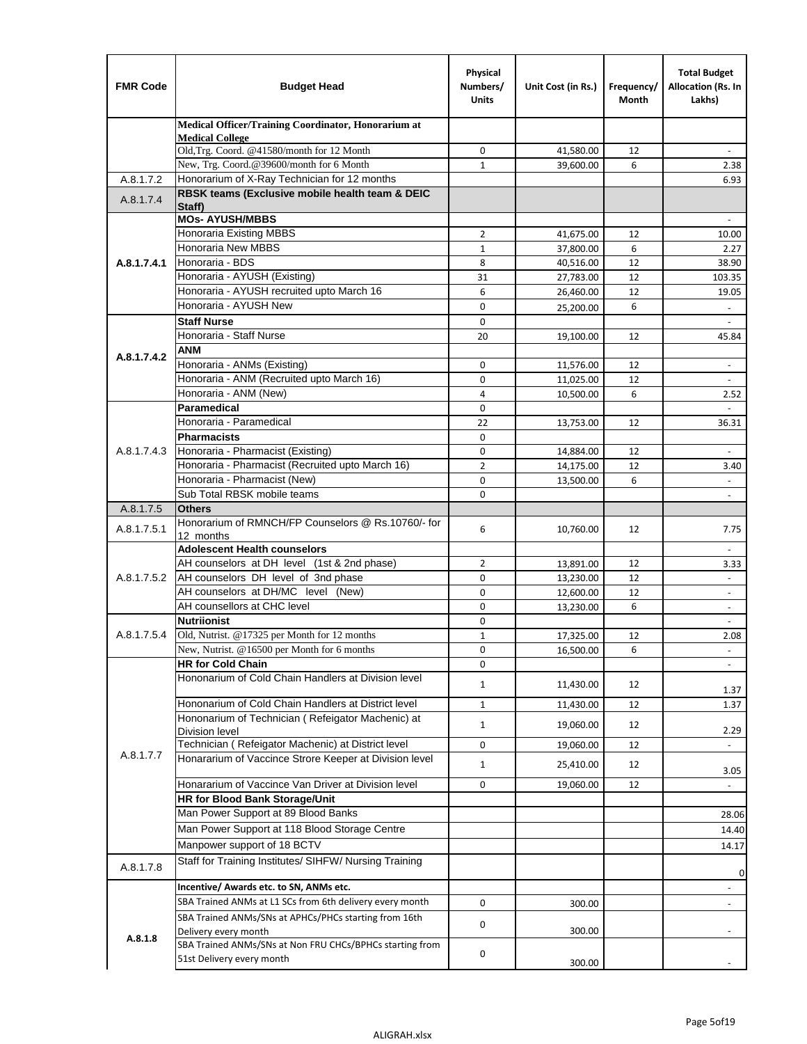| <b>FMR Code</b> | <b>Budget Head</b>                                                                    | Physical<br>Numbers/<br><b>Units</b> | Unit Cost (in Rs.)     | Frequency/<br>Month | <b>Total Budget</b><br>Allocation (Rs. In<br>Lakhs) |
|-----------------|---------------------------------------------------------------------------------------|--------------------------------------|------------------------|---------------------|-----------------------------------------------------|
|                 | Medical Officer/Training Coordinator, Honorarium at                                   |                                      |                        |                     |                                                     |
|                 | <b>Medical College</b><br>Old, Trg. Coord. @41580/month for 12 Month                  | 0                                    | 41,580.00              | 12                  |                                                     |
|                 | New, Trg. Coord.@39600/month for 6 Month                                              | $\mathbf{1}$                         | 39,600.00              | 6                   | 2.38                                                |
| A.8.1.7.2       | Honorarium of X-Ray Technician for 12 months                                          |                                      |                        |                     | 6.93                                                |
| A.8.1.7.4       | RBSK teams (Exclusive mobile health team & DEIC                                       |                                      |                        |                     |                                                     |
|                 | Staff)                                                                                |                                      |                        |                     |                                                     |
|                 | <b>MOs- AYUSH/MBBS</b>                                                                |                                      |                        |                     |                                                     |
|                 | Honoraria Existing MBBS<br><b>Honoraria New MBBS</b>                                  | $\overline{2}$                       | 41,675.00              | 12                  | 10.00                                               |
| A.8.1.7.4.1     | Honoraria - BDS                                                                       | $\mathbf{1}$<br>8                    | 37,800.00<br>40,516.00 | 6<br>12             | 2.27<br>38.90                                       |
|                 | Honoraria - AYUSH (Existing)                                                          | 31                                   | 27,783.00              | 12                  | 103.35                                              |
|                 | Honoraria - AYUSH recruited upto March 16                                             | 6                                    | 26,460.00              | 12                  | 19.05                                               |
|                 | Honoraria - AYUSH New                                                                 | $\mathbf 0$                          | 25,200.00              | 6                   | $\overline{\phantom{a}}$                            |
|                 | <b>Staff Nurse</b>                                                                    | $\Omega$                             |                        |                     |                                                     |
|                 | Honoraria - Staff Nurse                                                               | 20                                   | 19,100.00              | 12                  | 45.84                                               |
|                 | <b>ANM</b>                                                                            |                                      |                        |                     |                                                     |
| A.8.1.7.4.2     | Honoraria - ANMs (Existing)                                                           | $\mathbf 0$                          | 11,576.00              | 12                  | $\blacksquare$                                      |
|                 | Honoraria - ANM (Recruited upto March 16)                                             | 0                                    | 11,025.00              | 12                  |                                                     |
|                 | Honoraria - ANM (New)                                                                 | 4                                    | 10,500.00              | 6                   | 2.52                                                |
|                 | Paramedical                                                                           | $\mathbf 0$                          |                        |                     | $\overline{\phantom{a}}$                            |
|                 | Honoraria - Paramedical                                                               | 22                                   | 13,753.00              | 12                  | 36.31                                               |
|                 | <b>Pharmacists</b>                                                                    | $\mathbf 0$                          |                        |                     |                                                     |
| A.8.1.7.4.3     | Honoraria - Pharmacist (Existing)                                                     | $\mathbf 0$                          | 14,884.00              | 12                  | $\blacksquare$                                      |
|                 | Honoraria - Pharmacist (Recruited upto March 16)                                      | $\overline{2}$                       | 14,175.00              | 12                  | 3.40                                                |
|                 | Honoraria - Pharmacist (New)                                                          | $\Omega$                             | 13,500.00              | 6                   |                                                     |
|                 | Sub Total RBSK mobile teams<br><b>Others</b>                                          | $\Omega$                             |                        |                     | $\overline{\phantom{a}}$                            |
| A.8.1.7.5       | Honorarium of RMNCH/FP Counselors @ Rs.10760/- for                                    |                                      |                        |                     |                                                     |
| A.8.1.7.5.1     | 12 months                                                                             | 6                                    | 10,760.00              | 12                  | 7.75                                                |
|                 | <b>Adolescent Health counselors</b>                                                   |                                      |                        |                     | $\blacksquare$                                      |
|                 | AH counselors at DH level (1st & 2nd phase)                                           | 2                                    | 13,891.00              | 12                  | 3.33                                                |
| A.8.1.7.5.2     | AH counselors DH level of 3nd phase                                                   | $\mathbf 0$                          | 13,230.00              | 12                  | $\blacksquare$                                      |
|                 | AH counselors at DH/MC level (New)                                                    | 0                                    | 12,600.00              | 12                  | $\overline{\phantom{a}}$                            |
|                 | AH counsellors at CHC level                                                           | $\mathbf 0$                          | 13,230.00              | 6                   | $\blacksquare$                                      |
|                 | <b>Nutriionist</b>                                                                    | $\mathbf 0$                          |                        |                     | $\overline{\phantom{a}}$                            |
| A.8.1.7.5.4     | Old, Nutrist. @17325 per Month for 12 months                                          | $\mathbf{1}$                         | 17,325.00              | 12                  | 2.08                                                |
|                 | New, Nutrist. $@16500$ per Month for 6 months                                         | 0                                    | 16,500.00              | 6                   | -                                                   |
|                 | <b>HR for Cold Chain</b>                                                              | 0                                    |                        |                     |                                                     |
|                 | Hononarium of Cold Chain Handlers at Division level                                   | 1                                    | 11,430.00              | 12                  | 1.37                                                |
|                 | Hononarium of Cold Chain Handlers at District level                                   | $\mathbf{1}$                         | 11,430.00              | 12                  | 1.37                                                |
|                 | Hononarium of Technician (Refeigator Machenic) at                                     |                                      |                        |                     |                                                     |
|                 | <b>Division level</b>                                                                 | $\mathbf{1}$                         | 19,060.00              | 12                  | 2.29                                                |
|                 | Technician (Refeigator Machenic) at District level                                    | 0                                    | 19,060.00              | 12                  | $\overline{\phantom{a}}$                            |
| A.8.1.7.7       | Honararium of Vaccince Strore Keeper at Division level                                | $\mathbf{1}$                         | 25,410.00              | 12                  | 3.05                                                |
|                 | Honararium of Vaccince Van Driver at Division level                                   | 0                                    | 19,060.00              | 12                  |                                                     |
|                 | HR for Blood Bank Storage/Unit                                                        |                                      |                        |                     |                                                     |
|                 | Man Power Support at 89 Blood Banks                                                   |                                      |                        |                     | 28.06                                               |
|                 | Man Power Support at 118 Blood Storage Centre                                         |                                      |                        |                     | 14.40                                               |
|                 | Manpower support of 18 BCTV                                                           |                                      |                        |                     | 14.17                                               |
|                 | Staff for Training Institutes/ SIHFW/ Nursing Training                                |                                      |                        |                     |                                                     |
| A.8.1.7.8       |                                                                                       |                                      |                        |                     | 0                                                   |
|                 | Incentive/ Awards etc. to SN, ANMs etc.                                               |                                      |                        |                     | $\overline{\phantom{m}}$                            |
|                 | SBA Trained ANMs at L1 SCs from 6th delivery every month                              | 0                                    | 300.00                 |                     | $\frac{1}{2}$                                       |
|                 | SBA Trained ANMs/SNs at APHCs/PHCs starting from 16th                                 | 0                                    |                        |                     |                                                     |
| A.8.1.8         | Delivery every month                                                                  |                                      | 300.00                 |                     |                                                     |
|                 | SBA Trained ANMs/SNs at Non FRU CHCs/BPHCs starting from<br>51st Delivery every month | 0                                    |                        |                     |                                                     |
|                 |                                                                                       |                                      | 300.00                 |                     |                                                     |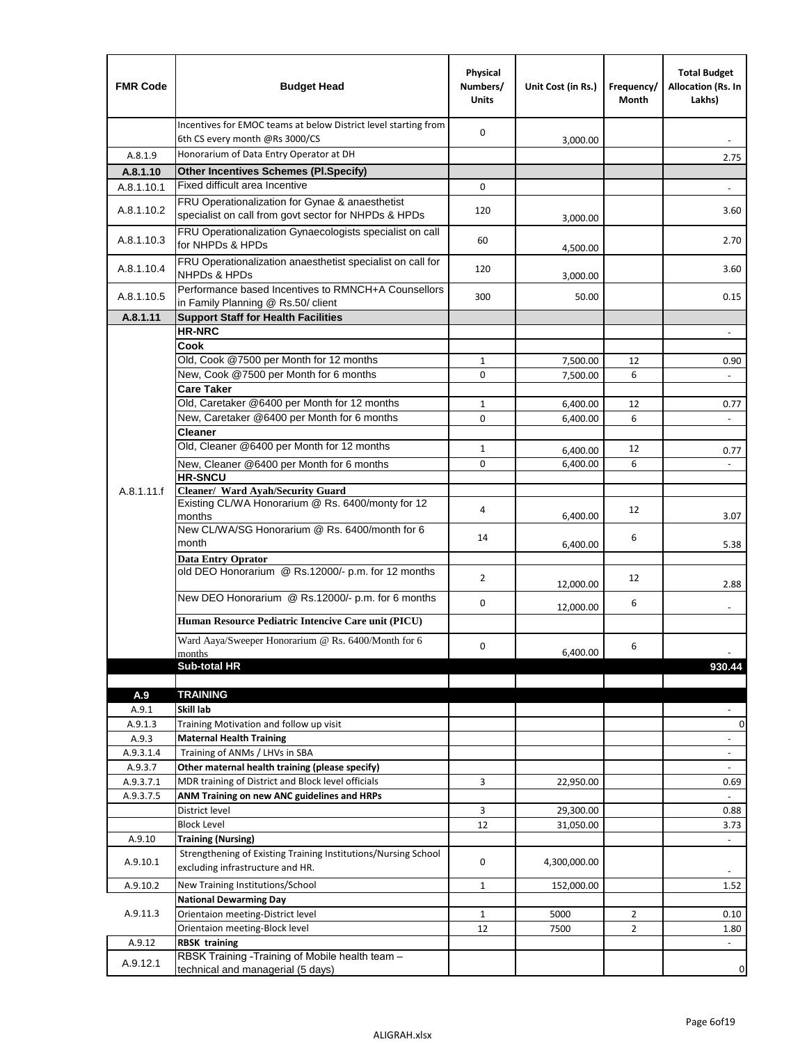| <b>FMR Code</b>  | <b>Budget Head</b>                                                                                      | Physical<br>Numbers/<br><b>Units</b> | Unit Cost (in Rs.) | Frequency/<br>Month | <b>Total Budget</b><br>Allocation (Rs. In<br>Lakhs) |
|------------------|---------------------------------------------------------------------------------------------------------|--------------------------------------|--------------------|---------------------|-----------------------------------------------------|
|                  | Incentives for EMOC teams at below District level starting from<br>6th CS every month @Rs 3000/CS       | 0                                    | 3,000.00           |                     |                                                     |
| A.8.1.9          | Honorarium of Data Entry Operator at DH                                                                 |                                      |                    |                     | 2.75                                                |
| A.8.1.10         | <b>Other Incentives Schemes (Pl.Specify)</b>                                                            |                                      |                    |                     |                                                     |
| A.8.1.10.1       | Fixed difficult area Incentive                                                                          | 0                                    |                    |                     |                                                     |
| A.8.1.10.2       | FRU Operationalization for Gynae & anaesthetist<br>specialist on call from govt sector for NHPDs & HPDs | 120                                  | 3,000.00           |                     | 3.60                                                |
| A.8.1.10.3       | FRU Operationalization Gynaecologists specialist on call<br>for NHPDs & HPDs                            | 60                                   | 4,500.00           |                     | 2.70                                                |
| A.8.1.10.4       | FRU Operationalization anaesthetist specialist on call for<br><b>NHPDs &amp; HPDs</b>                   | 120                                  | 3,000.00           |                     | 3.60                                                |
| A.8.1.10.5       | Performance based Incentives to RMNCH+A Counsellors<br>in Family Planning @ Rs.50/ client               | 300                                  | 50.00              |                     | 0.15                                                |
| A.8.1.11         | <b>Support Staff for Health Facilities</b>                                                              |                                      |                    |                     |                                                     |
|                  | <b>HR-NRC</b>                                                                                           |                                      |                    |                     | $\overline{\phantom{a}}$                            |
|                  | Cook                                                                                                    |                                      |                    |                     |                                                     |
|                  | Old, Cook @7500 per Month for 12 months                                                                 | 1                                    | 7,500.00           | 12                  | 0.90                                                |
|                  | New, Cook @7500 per Month for 6 months<br><b>Care Taker</b>                                             | 0                                    | 7,500.00           | 6                   | $\blacksquare$                                      |
|                  | Old, Caretaker @6400 per Month for 12 months                                                            | 1                                    | 6,400.00           | 12                  | 0.77                                                |
|                  | New, Caretaker @6400 per Month for 6 months                                                             | 0                                    | 6,400.00           | 6                   | $\overline{\phantom{a}}$                            |
|                  | <b>Cleaner</b>                                                                                          |                                      |                    |                     |                                                     |
|                  | Old, Cleaner @6400 per Month for 12 months                                                              | 1                                    | 6,400.00           | 12                  | 0.77                                                |
|                  | New, Cleaner @6400 per Month for 6 months                                                               | 0                                    | 6,400.00           | 6                   |                                                     |
|                  | <b>HR-SNCU</b>                                                                                          |                                      |                    |                     |                                                     |
| A.8.1.11.f       | Cleaner/ Ward Ayah/Security Guard                                                                       |                                      |                    |                     |                                                     |
|                  | Existing CL/WA Honorarium @ Rs. 6400/monty for 12<br>months                                             | 4                                    | 6,400.00           | 12                  | 3.07                                                |
|                  | New CL/WA/SG Honorarium @ Rs. 6400/month for 6<br>month                                                 | 14                                   | 6,400.00           | 6                   | 5.38                                                |
|                  | <b>Data Entry Oprator</b>                                                                               |                                      |                    |                     |                                                     |
|                  | old DEO Honorarium @ Rs.12000/- p.m. for 12 months                                                      | $\overline{2}$                       | 12,000.00          | 12                  | 2.88                                                |
|                  | New DEO Honorarium @ Rs.12000/- p.m. for 6 months                                                       | 0                                    | 12,000.00          | 6                   |                                                     |
|                  | Human Resource Pediatric Intencive Care unit (PICU)                                                     |                                      |                    |                     |                                                     |
|                  | Ward Aaya/Sweeper Honorarium @ Rs. 6400/Month for 6                                                     |                                      |                    |                     |                                                     |
|                  | months                                                                                                  | 0                                    | 6,400.00           | 6                   |                                                     |
|                  | Sub-total HR                                                                                            |                                      |                    |                     | 930.44                                              |
|                  |                                                                                                         |                                      |                    |                     |                                                     |
| A.9              | <b>TRAINING</b><br>Skill lab                                                                            |                                      |                    |                     |                                                     |
| A.9.1<br>A.9.1.3 | Training Motivation and follow up visit                                                                 |                                      |                    |                     | 0                                                   |
| A.9.3            | <b>Maternal Health Training</b>                                                                         |                                      |                    |                     | $\blacksquare$                                      |
| A.9.3.1.4        | Training of ANMs / LHVs in SBA                                                                          |                                      |                    |                     | $\overline{\phantom{a}}$                            |
| A.9.3.7          | Other maternal health training (please specify)                                                         |                                      |                    |                     | $\overline{\phantom{a}}$                            |
| A.9.3.7.1        | MDR training of District and Block level officials                                                      | 3                                    | 22,950.00          |                     | 0.69                                                |
| A.9.3.7.5        | ANM Training on new ANC guidelines and HRPs                                                             |                                      |                    |                     |                                                     |
|                  | District level                                                                                          | 3                                    | 29,300.00          |                     | 0.88                                                |
|                  | <b>Block Level</b>                                                                                      | 12                                   | 31,050.00          |                     | 3.73                                                |
| A.9.10           | <b>Training (Nursing)</b>                                                                               |                                      |                    |                     | $\blacksquare$                                      |
| A.9.10.1         | Strengthening of Existing Training Institutions/Nursing School<br>excluding infrastructure and HR.      | 0                                    | 4,300,000.00       |                     |                                                     |
| A.9.10.2         | New Training Institutions/School                                                                        | $\mathbf{1}$                         | 152,000.00         |                     | 1.52                                                |
|                  | <b>National Dewarming Day</b>                                                                           |                                      |                    |                     |                                                     |
| A.9.11.3         | Orientaion meeting-District level                                                                       | 1                                    | 5000               | $\overline{2}$      | 0.10                                                |
|                  | Orientaion meeting-Block level                                                                          | 12                                   | 7500               | $\overline{2}$      | 1.80                                                |
| A.9.12           | <b>RBSK training</b>                                                                                    |                                      |                    |                     |                                                     |
| A.9.12.1         | RBSK Training -Training of Mobile health team -<br>technical and managerial (5 days)                    |                                      |                    |                     | 0                                                   |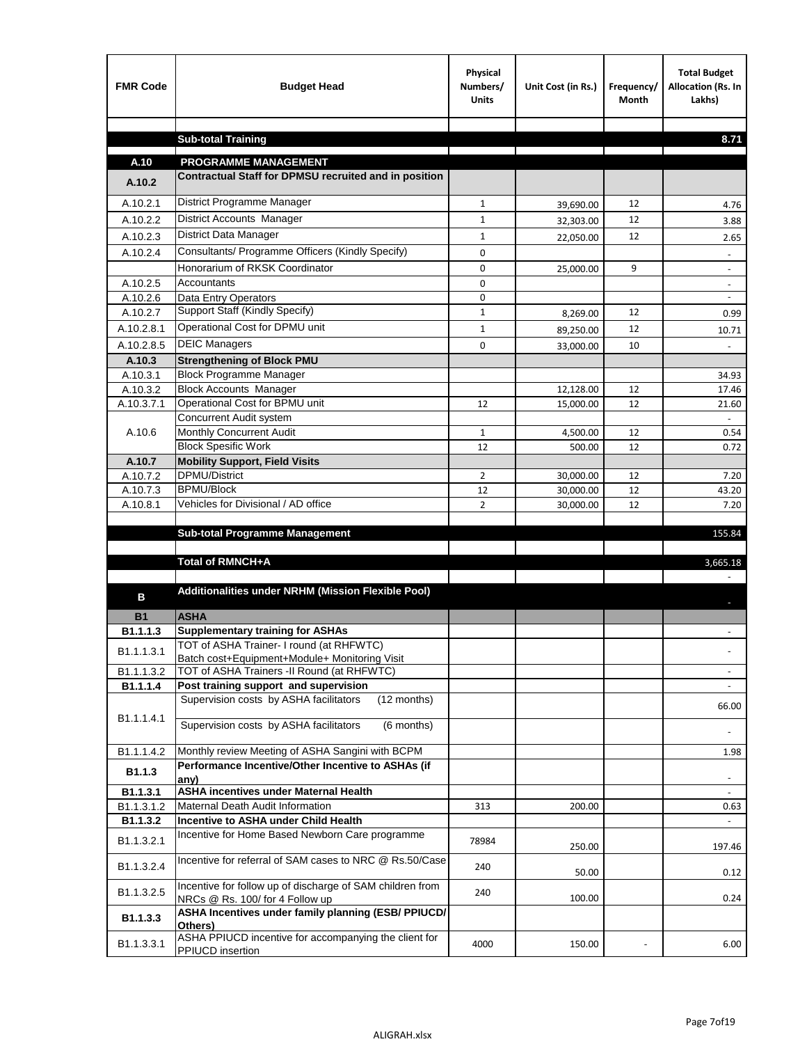| <b>FMR Code</b>        | <b>Budget Head</b>                                                                           | Physical<br>Numbers/<br><b>Units</b> | Unit Cost (in Rs.)     | Frequency/<br><b>Month</b> | <b>Total Budget</b><br>Allocation (Rs. In<br>Lakhs) |
|------------------------|----------------------------------------------------------------------------------------------|--------------------------------------|------------------------|----------------------------|-----------------------------------------------------|
|                        |                                                                                              |                                      |                        |                            |                                                     |
|                        | <b>Sub-total Training</b>                                                                    |                                      |                        |                            | 8.71                                                |
| A.10                   | <b>PROGRAMME MANAGEMENT</b>                                                                  |                                      |                        |                            |                                                     |
| A.10.2                 | Contractual Staff for DPMSU recruited and in position                                        |                                      |                        |                            |                                                     |
| A.10.2.1               | District Programme Manager                                                                   | $\mathbf{1}$                         |                        | 12                         |                                                     |
| A.10.2.2               | District Accounts Manager                                                                    | 1                                    | 39,690.00              | 12                         | 4.76                                                |
| A.10.2.3               | District Data Manager                                                                        | $\mathbf{1}$                         | 32,303.00              | 12                         | 3.88                                                |
| A.10.2.4               | Consultants/ Programme Officers (Kindly Specify)                                             | $\mathbf 0$                          | 22,050.00              |                            | 2.65                                                |
|                        | Honorarium of RKSK Coordinator                                                               | 0                                    | 25,000.00              | 9                          |                                                     |
| A.10.2.5               | Accountants                                                                                  | 0                                    |                        |                            | $\overline{\phantom{a}}$                            |
| A.10.2.6               | Data Entry Operators                                                                         | 0                                    |                        |                            | $\overline{\phantom{a}}$                            |
| A.10.2.7               | Support Staff (Kindly Specify)                                                               | $\mathbf{1}$                         | 8,269.00               | 12                         | 0.99                                                |
| A.10.2.8.1             | Operational Cost for DPMU unit                                                               | $\mathbf{1}$                         | 89,250.00              | 12                         | 10.71                                               |
| A.10.2.8.5             | <b>DEIC Managers</b>                                                                         | $\mathbf 0$                          | 33,000.00              | 10                         |                                                     |
| A.10.3                 | <b>Strengthening of Block PMU</b>                                                            |                                      |                        |                            |                                                     |
| A.10.3.1               | <b>Block Programme Manager</b>                                                               |                                      |                        |                            | 34.93                                               |
| A.10.3.2               | <b>Block Accounts Manager</b>                                                                |                                      | 12,128.00              | 12                         | 17.46                                               |
| A.10.3.7.1             | Operational Cost for BPMU unit                                                               | 12                                   | 15,000.00              | 12                         | 21.60                                               |
|                        | Concurrent Audit system                                                                      |                                      |                        |                            |                                                     |
| A.10.6                 | Monthly Concurrent Audit                                                                     | $\mathbf{1}$                         | 4,500.00               | 12                         | 0.54                                                |
|                        | <b>Block Spesific Work</b>                                                                   | 12                                   | 500.00                 | 12                         | 0.72                                                |
| A.10.7<br>A.10.7.2     | <b>Mobility Support, Field Visits</b><br><b>DPMU/District</b>                                |                                      |                        |                            |                                                     |
| A.10.7.3               | <b>BPMU/Block</b>                                                                            | 2<br>12                              | 30,000.00<br>30,000.00 | 12<br>12                   | 7.20<br>43.20                                       |
| A.10.8.1               | Vehicles for Divisional / AD office                                                          | $\overline{2}$                       | 30,000.00              | 12                         | 7.20                                                |
|                        |                                                                                              |                                      |                        |                            |                                                     |
|                        | <b>Sub-total Programme Management</b>                                                        |                                      |                        |                            | 155.84                                              |
|                        |                                                                                              |                                      |                        |                            |                                                     |
|                        | Total of RMNCH+A                                                                             |                                      |                        |                            | 3,665.18                                            |
| в                      | Additionalities under NRHM (Mission Flexible Pool)                                           |                                      |                        |                            |                                                     |
| <b>B1</b>              | <b>ASHA</b>                                                                                  |                                      |                        |                            |                                                     |
| B1.1.1.3               | <b>Supplementary training for ASHAs</b>                                                      |                                      |                        |                            |                                                     |
|                        | TOT of ASHA Trainer- I round (at RHFWTC)                                                     |                                      |                        |                            |                                                     |
| B1.1.1.3.1             | Batch cost+Equipment+Module+ Monitoring Visit                                                |                                      |                        |                            |                                                     |
| B1.1.1.3.2             | TOT of ASHA Trainers -II Round (at RHFWTC)                                                   |                                      |                        |                            |                                                     |
| B1.1.1.4               | Post training support and supervision                                                        |                                      |                        |                            | $\sim$                                              |
|                        | Supervision costs by ASHA facilitators<br>(12 months)                                        |                                      |                        |                            | 66.00                                               |
| B1.1.1.4.1             | Supervision costs by ASHA facilitators<br>(6 months)                                         |                                      |                        |                            |                                                     |
| B1.1.1.4.2             | Monthly review Meeting of ASHA Sangini with BCPM                                             |                                      |                        |                            | 1.98                                                |
| B1.1.3                 | Performance Incentive/Other Incentive to ASHAs (if                                           |                                      |                        |                            |                                                     |
|                        | any)                                                                                         |                                      |                        |                            |                                                     |
| B1.1.3.1<br>B1.1.3.1.2 | <b>ASHA incentives under Maternal Health</b><br>Maternal Death Audit Information             | 313                                  |                        |                            |                                                     |
| B1.1.3.2               | Incentive to ASHA under Child Health                                                         |                                      | 200.00                 |                            | 0.63<br>÷.                                          |
| B1.1.3.2.1             | Incentive for Home Based Newborn Care programme                                              | 78984                                | 250.00                 |                            | 197.46                                              |
| B1.1.3.2.4             | Incentive for referral of SAM cases to NRC @ Rs.50/Case                                      | 240                                  | 50.00                  |                            | 0.12                                                |
| B1.1.3.2.5             | Incentive for follow up of discharge of SAM children from<br>NRCs @ Rs. 100/ for 4 Follow up | 240                                  | 100.00                 |                            | 0.24                                                |
| B1.1.3.3               | ASHA Incentives under family planning (ESB/ PPIUCD/<br>Others)                               |                                      |                        |                            |                                                     |
| B1.1.3.3.1             | ASHA PPIUCD incentive for accompanying the client for<br>PPIUCD insertion                    | 4000                                 | 150.00                 |                            | 6.00                                                |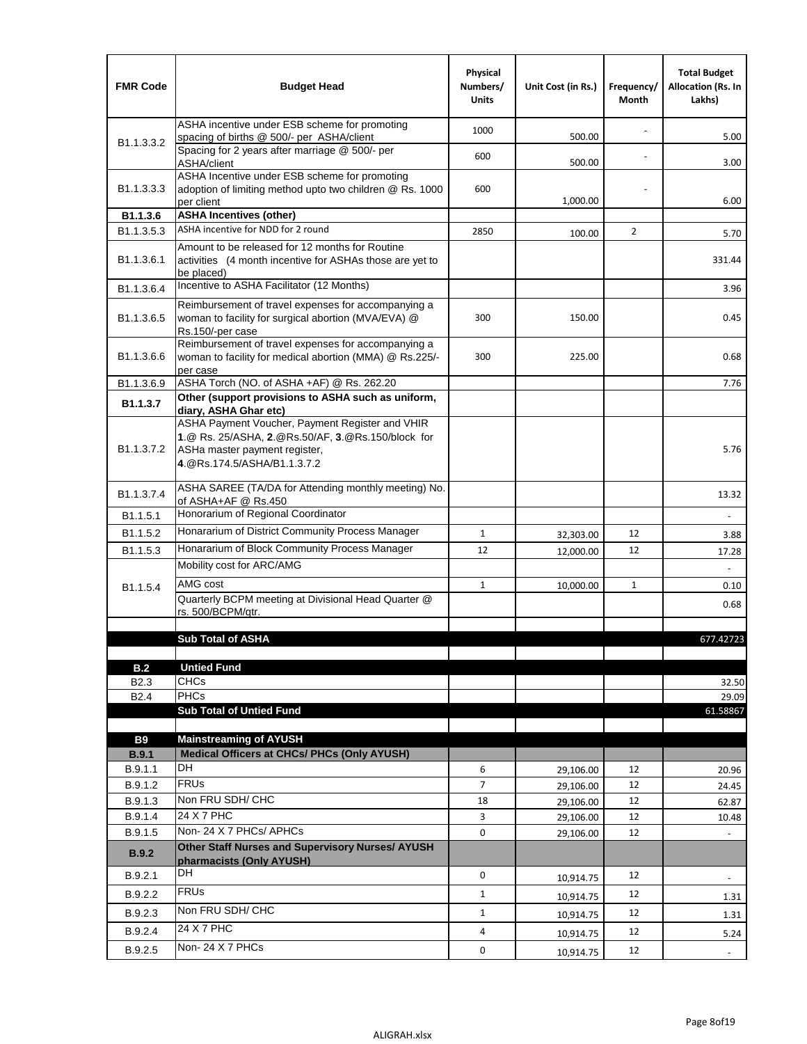| <b>FMR Code</b>            | <b>Budget Head</b>                                                                                                                                                                             | Physical<br>Numbers/<br><b>Units</b> | Unit Cost (in Rs.) | Frequency/<br>Month | <b>Total Budget</b><br><b>Allocation (Rs. In</b><br>Lakhs) |
|----------------------------|------------------------------------------------------------------------------------------------------------------------------------------------------------------------------------------------|--------------------------------------|--------------------|---------------------|------------------------------------------------------------|
|                            | ASHA incentive under ESB scheme for promoting<br>spacing of births @ 500/- per ASHA/client                                                                                                     | 1000                                 | 500.00             |                     | 5.00                                                       |
| B <sub>1.1</sub> , 3, 3, 2 | Spacing for 2 years after marriage @ 500/- per<br>ASHA/client                                                                                                                                  | 600                                  | 500.00             |                     | 3.00                                                       |
| B1.1.3.3.3                 | ASHA Incentive under ESB scheme for promoting<br>adoption of limiting method upto two children @ Rs. 1000<br>per client                                                                        | 600                                  | 1,000.00           |                     | 6.00                                                       |
| B1.1.3.6                   | <b>ASHA Incentives (other)</b>                                                                                                                                                                 |                                      |                    |                     |                                                            |
| B <sub>1.1</sub> , 3, 5, 3 | ASHA incentive for NDD for 2 round                                                                                                                                                             | 2850                                 | 100.00             | $\overline{2}$      | 5.70                                                       |
| B <sub>1.1</sub> .3.6.1    | Amount to be released for 12 months for Routine<br>activities (4 month incentive for ASHAs those are yet to<br>be placed)                                                                      |                                      |                    |                     | 331.44                                                     |
| B1.1.3.6.4                 | Incentive to ASHA Facilitator (12 Months)                                                                                                                                                      |                                      |                    |                     | 3.96                                                       |
| B <sub>1.1</sub> .3.6.5    | Reimbursement of travel expenses for accompanying a<br>woman to facility for surgical abortion (MVA/EVA) @<br>Rs.150/-per case                                                                 | 300                                  | 150.00             |                     | 0.45                                                       |
| B <sub>1.1</sub> .3.6.6    | Reimbursement of travel expenses for accompanying a<br>woman to facility for medical abortion (MMA) @ Rs.225/-<br>per case                                                                     | 300                                  | 225.00             |                     | 0.68                                                       |
| B1.1.3.6.9                 | ASHA Torch (NO. of ASHA +AF) @ Rs. 262.20                                                                                                                                                      |                                      |                    |                     | 7.76                                                       |
| B1.1.3.7                   | Other (support provisions to ASHA such as uniform,                                                                                                                                             |                                      |                    |                     |                                                            |
| B <sub>1.1</sub> .3.7.2    | diary, ASHA Ghar etc)<br>ASHA Payment Voucher, Payment Register and VHIR<br>1.@ Rs. 25/ASHA, 2.@Rs.50/AF, 3.@Rs.150/block for<br>ASHa master payment register,<br>4. @Rs.174.5/ASHA/B1.1.3.7.2 |                                      |                    |                     | 5.76                                                       |
| B <sub>1.1</sub> , 3.7.4   | ASHA SAREE (TA/DA for Attending monthly meeting) No.<br>of ASHA+AF @ Rs.450                                                                                                                    |                                      |                    |                     | 13.32                                                      |
| B <sub>1.1</sub> .5.1      | Honorarium of Regional Coordinator                                                                                                                                                             |                                      |                    |                     |                                                            |
| B <sub>1.1.5.2</sub>       | Honararium of District Community Process Manager                                                                                                                                               | $\mathbf{1}$                         | 32,303.00          | 12                  | 3.88                                                       |
| B1.1.5.3                   | Honararium of Block Community Process Manager                                                                                                                                                  | 12                                   | 12,000.00          | 12                  | 17.28                                                      |
|                            | Mobility cost for ARC/AMG                                                                                                                                                                      |                                      |                    |                     |                                                            |
| B <sub>1.1.5.4</sub>       | AMG cost                                                                                                                                                                                       | $\mathbf{1}$                         | 10,000.00          | 1                   | 0.10                                                       |
|                            | Quarterly BCPM meeting at Divisional Head Quarter @                                                                                                                                            |                                      |                    |                     | 0.68                                                       |
|                            | rs. 500/BCPM/qtr.                                                                                                                                                                              |                                      |                    |                     |                                                            |
|                            | <b>Sub Total of ASHA</b>                                                                                                                                                                       |                                      |                    |                     | 677.42723                                                  |
|                            |                                                                                                                                                                                                |                                      |                    |                     |                                                            |
| B.2                        | <b>Untied Fund</b>                                                                                                                                                                             |                                      |                    |                     |                                                            |
| B <sub>2.3</sub>           | <b>CHCs</b>                                                                                                                                                                                    |                                      |                    |                     | 32.50                                                      |
| B <sub>2.4</sub>           | PHCs                                                                                                                                                                                           |                                      |                    |                     | 29.09                                                      |
|                            | <b>Sub Total of Untied Fund</b>                                                                                                                                                                |                                      |                    |                     | 61.58867                                                   |
| <b>B9</b>                  | <b>Mainstreaming of AYUSH</b>                                                                                                                                                                  |                                      |                    |                     |                                                            |
| B.9.1                      | Medical Officers at CHCs/ PHCs (Only AYUSH)                                                                                                                                                    |                                      |                    |                     |                                                            |
| B.9.1.1                    | <b>DH</b>                                                                                                                                                                                      | 6                                    | 29,106.00          | 12                  | 20.96                                                      |
| B.9.1.2                    | <b>FRUs</b>                                                                                                                                                                                    | 7                                    | 29,106.00          | 12                  | 24.45                                                      |
| B.9.1.3                    | Non FRU SDH/ CHC                                                                                                                                                                               | 18                                   | 29,106.00          | 12                  | 62.87                                                      |
| B.9.1.4                    | 24 X 7 PHC                                                                                                                                                                                     | 3                                    | 29,106.00          | 12                  | 10.48                                                      |
| B.9.1.5                    | Non-24 X 7 PHCs/ APHCs                                                                                                                                                                         | 0                                    | 29,106.00          | 12                  |                                                            |
| <b>B.9.2</b>               | Other Staff Nurses and Supervisory Nurses/ AYUSH<br>pharmacists (Only AYUSH)                                                                                                                   |                                      |                    |                     |                                                            |
| B.9.2.1                    | DH                                                                                                                                                                                             | $\mathbf 0$                          | 10,914.75          | 12                  | $\blacksquare$                                             |
| B.9.2.2                    | <b>FRUs</b>                                                                                                                                                                                    | $\mathbf{1}$                         | 10,914.75          | 12                  | 1.31                                                       |
| B.9.2.3                    | Non FRU SDH/ CHC                                                                                                                                                                               | $\mathbf{1}$                         | 10,914.75          | 12                  | 1.31                                                       |
| B.9.2.4                    | 24 X 7 PHC                                                                                                                                                                                     | 4                                    |                    | 12                  |                                                            |
|                            | Non-24 X 7 PHCs                                                                                                                                                                                | 0                                    | 10,914.75          |                     | 5.24                                                       |
| B.9.2.5                    |                                                                                                                                                                                                |                                      | 10,914.75          | 12                  | $\overline{\phantom{a}}$                                   |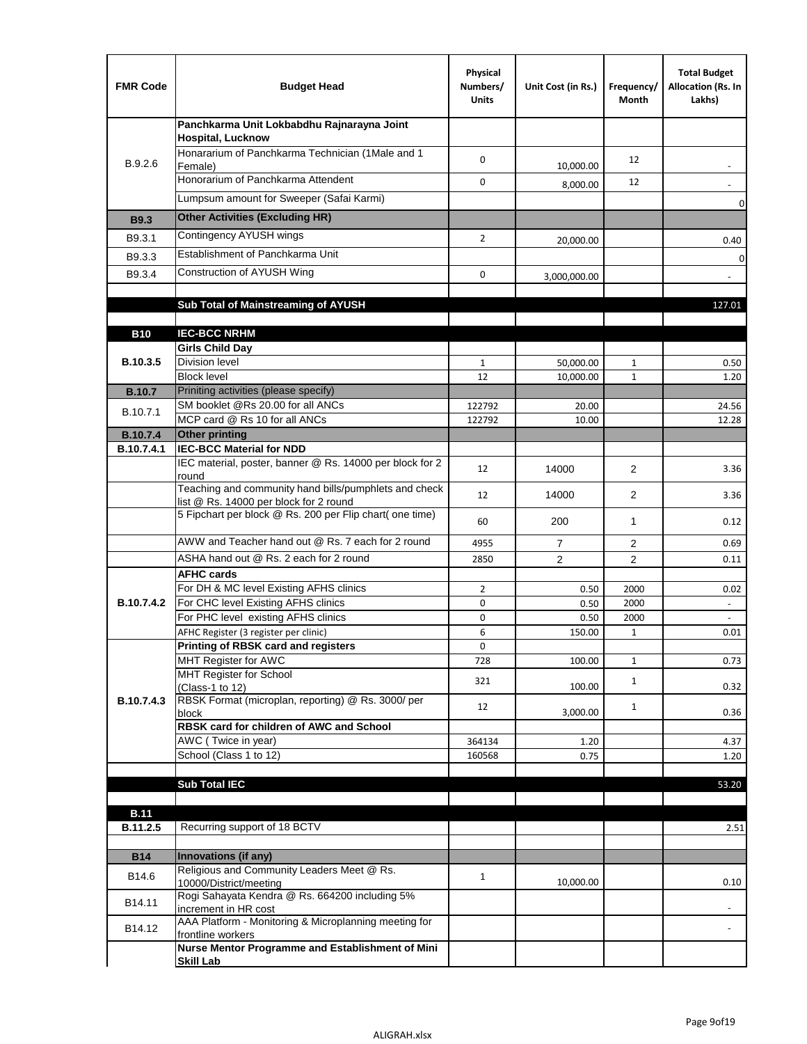| <b>FMR Code</b>               | <b>Budget Head</b>                                                                              | Physical<br>Numbers/<br><b>Units</b> | Unit Cost (in Rs.) | Frequency/<br>Month | <b>Total Budget</b><br>Allocation (Rs. In<br>Lakhs) |
|-------------------------------|-------------------------------------------------------------------------------------------------|--------------------------------------|--------------------|---------------------|-----------------------------------------------------|
|                               | Panchkarma Unit Lokbabdhu Rajnarayna Joint<br><b>Hospital, Lucknow</b>                          |                                      |                    |                     |                                                     |
| B.9.2.6                       | Honararium of Panchkarma Technician (1Male and 1<br>Female)                                     | 0                                    | 10,000.00          | 12                  |                                                     |
|                               | Honorarium of Panchkarma Attendent                                                              | 0                                    | 8,000.00           | 12                  |                                                     |
|                               | Lumpsum amount for Sweeper (Safai Karmi)                                                        |                                      |                    |                     | 0                                                   |
| <b>B9.3</b>                   | <b>Other Activities (Excluding HR)</b>                                                          |                                      |                    |                     |                                                     |
| B9.3.1                        | Contingency AYUSH wings                                                                         | $\overline{2}$                       | 20,000.00          |                     | 0.40                                                |
| B9.3.3                        | Establishment of Panchkarma Unit                                                                |                                      |                    |                     | $\mathbf 0$                                         |
| B9.3.4                        | Construction of AYUSH Wing                                                                      | 0                                    | 3,000,000.00       |                     |                                                     |
|                               |                                                                                                 |                                      |                    |                     |                                                     |
|                               | Sub Total of Mainstreaming of AYUSH                                                             |                                      |                    |                     | 127.01                                              |
|                               |                                                                                                 |                                      |                    |                     |                                                     |
| <b>B10</b>                    | <b>IEC-BCC NRHM</b>                                                                             |                                      |                    |                     |                                                     |
| B.10.3.5                      | <b>Girls Child Day</b><br><b>Division level</b>                                                 | 1                                    | 50,000.00          | 1                   | 0.50                                                |
|                               | <b>Block level</b>                                                                              | 12                                   | 10,000.00          | $\mathbf{1}$        | 1.20                                                |
| <b>B.10.7</b>                 | Priniting activities (please specify)                                                           |                                      |                    |                     |                                                     |
| B.10.7.1                      | SM booklet @Rs 20.00 for all ANCs                                                               | 122792                               | 20.00              |                     | 24.56                                               |
|                               | MCP card @ Rs 10 for all ANCs                                                                   | 122792                               | 10.00              |                     | 12.28                                               |
| <b>B.10.7.4</b><br>B.10.7.4.1 | <b>Other printing</b><br><b>IEC-BCC Material for NDD</b>                                        |                                      |                    |                     |                                                     |
|                               | IEC material, poster, banner @ Rs. 14000 per block for 2<br>round                               | 12                                   | 14000              | $\overline{2}$      | 3.36                                                |
|                               | Teaching and community hand bills/pumphlets and check<br>list @ Rs. 14000 per block for 2 round | 12                                   | 14000              | $\overline{2}$      | 3.36                                                |
|                               | 5 Fipchart per block @ Rs. 200 per Flip chart( one time)                                        | 60                                   | 200                | $\mathbf{1}$        | 0.12                                                |
|                               | AWW and Teacher hand out @ Rs. 7 each for 2 round                                               | 4955                                 | $\overline{7}$     | 2                   | 0.69                                                |
|                               | ASHA hand out @ Rs. 2 each for 2 round                                                          | 2850                                 | $\overline{2}$     | $\overline{2}$      | 0.11                                                |
|                               | <b>AFHC cards</b>                                                                               |                                      |                    |                     |                                                     |
| <b>B.10.7.4.2</b>             | For DH & MC level Existing AFHS clinics<br>For CHC level Existing AFHS clinics                  | $\overline{2}$<br>0                  | 0.50<br>0.50       | 2000<br>2000        | 0.02<br>$\overline{\phantom{a}}$                    |
|                               | For PHC level existing AFHS clinics                                                             | 0                                    | 0.50               | 2000                | $\bar{\phantom{a}}$                                 |
|                               | AFHC Register (3 register per clinic)                                                           | 6                                    | 150.00             | $\mathbf{1}$        | 0.01                                                |
|                               | Printing of RBSK card and registers                                                             | 0                                    |                    |                     |                                                     |
|                               | MHT Register for AWC                                                                            | 728                                  | 100.00             | $\mathbf{1}$        | 0.73                                                |
|                               | MHT Register for School<br>(Class-1 to 12)                                                      | 321                                  | 100.00             | $\mathbf{1}$        | 0.32                                                |
| B.10.7.4.3                    | RBSK Format (microplan, reporting) @ Rs. 3000/ per<br>block                                     | 12                                   | 3,000.00           | $\mathbf{1}$        | 0.36                                                |
|                               | RBSK card for children of AWC and School                                                        |                                      |                    |                     |                                                     |
|                               | AWC (Twice in year)                                                                             | 364134                               | 1.20               |                     | 4.37                                                |
|                               | School (Class 1 to 12)                                                                          | 160568                               | 0.75               |                     | 1.20                                                |
|                               | <b>Sub Total IEC</b>                                                                            |                                      |                    |                     | 53.20                                               |
|                               |                                                                                                 |                                      |                    |                     |                                                     |
| <b>B.11</b>                   |                                                                                                 |                                      |                    |                     |                                                     |
| B.11.2.5                      | Recurring support of 18 BCTV                                                                    |                                      |                    |                     | 2.51                                                |
|                               |                                                                                                 |                                      |                    |                     |                                                     |
| <b>B14</b>                    | Innovations (if any)<br>Religious and Community Leaders Meet @ Rs.                              |                                      |                    |                     |                                                     |
| B14.6                         | 10000/District/meeting<br>Rogi Sahayata Kendra @ Rs. 664200 including 5%                        | $\mathbf{1}$                         | 10,000.00          |                     | 0.10                                                |
| B14.11                        | increment in HR cost                                                                            |                                      |                    |                     |                                                     |
| B14.12                        | AAA Platform - Monitoring & Microplanning meeting for<br>frontline workers                      |                                      |                    |                     |                                                     |
|                               | Nurse Mentor Programme and Establishment of Mini                                                |                                      |                    |                     |                                                     |
|                               | <b>Skill Lab</b>                                                                                |                                      |                    |                     |                                                     |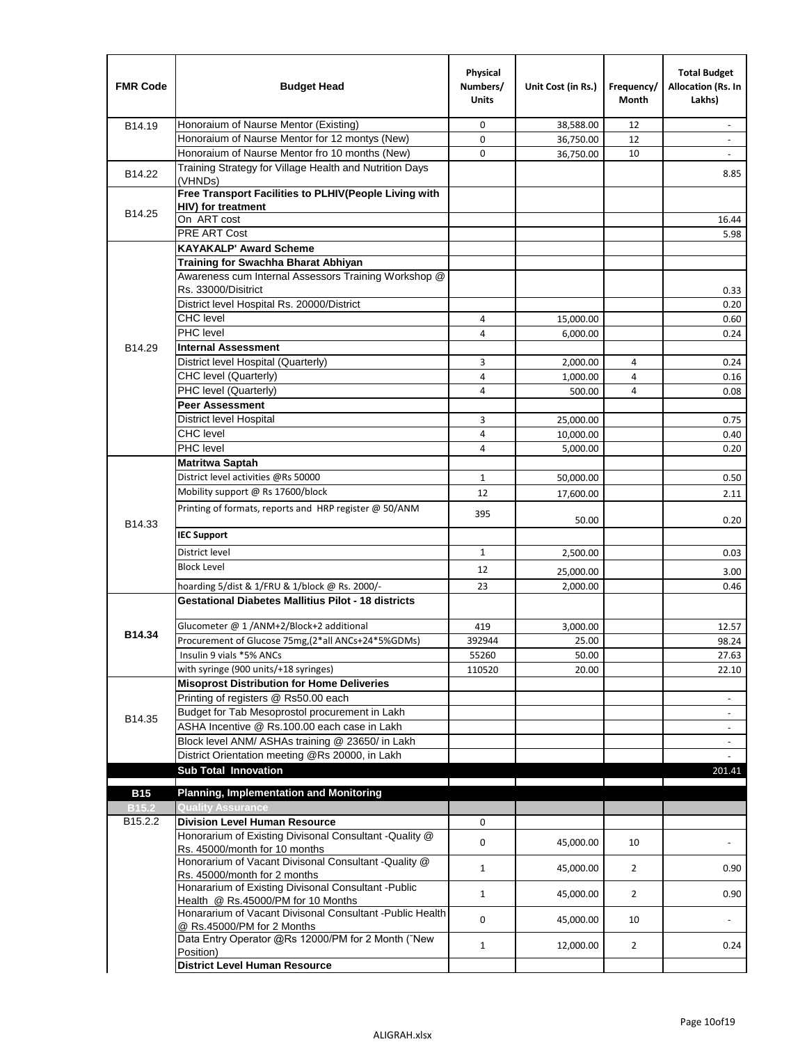| <b>FMR Code</b>   | <b>Budget Head</b>                                                                         | Physical<br>Numbers/<br><b>Units</b> | Unit Cost (in Rs.) | Frequency/<br><b>Month</b> | <b>Total Budget</b><br>Allocation (Rs. In<br>Lakhs) |
|-------------------|--------------------------------------------------------------------------------------------|--------------------------------------|--------------------|----------------------------|-----------------------------------------------------|
| B14.19            | Honoraium of Naurse Mentor (Existing)                                                      | 0                                    | 38,588.00          | 12                         | $\sim$                                              |
|                   | Honoraium of Naurse Mentor for 12 montys (New)                                             | 0                                    | 36,750.00          | 12                         |                                                     |
|                   | Honoraium of Naurse Mentor fro 10 months (New)                                             | 0                                    | 36,750.00          | 10                         | $\sim$                                              |
| B14.22            | Training Strategy for Village Health and Nutrition Days<br>(VHNDs)                         |                                      |                    |                            | 8.85                                                |
|                   | Free Transport Facilities to PLHIV(People Living with                                      |                                      |                    |                            |                                                     |
| B14.25            | <b>HIV)</b> for treatment                                                                  |                                      |                    |                            |                                                     |
|                   | On ART cost<br>PRE ART Cost                                                                |                                      |                    |                            | 16.44                                               |
|                   | <b>KAYAKALP' Award Scheme</b>                                                              |                                      |                    |                            | 5.98                                                |
|                   | Training for Swachha Bharat Abhiyan                                                        |                                      |                    |                            |                                                     |
|                   | Awareness cum Internal Assessors Training Workshop @                                       |                                      |                    |                            |                                                     |
|                   | Rs. 33000/Disitrict                                                                        |                                      |                    |                            | 0.33                                                |
|                   | District level Hospital Rs. 20000/District                                                 |                                      |                    |                            | 0.20                                                |
|                   | <b>CHC</b> level                                                                           | 4                                    | 15,000.00          |                            | 0.60                                                |
|                   | <b>PHC</b> level                                                                           | 4                                    | 6,000.00           |                            | 0.24                                                |
| B14.29            | <b>Internal Assessment</b>                                                                 |                                      |                    |                            |                                                     |
|                   | District level Hospital (Quarterly)                                                        | 3                                    | 2,000.00           | 4                          | 0.24                                                |
|                   | CHC level (Quarterly)                                                                      | 4                                    | 1,000.00           | 4                          | 0.16                                                |
|                   | PHC level (Quarterly)                                                                      | 4                                    | 500.00             | 4                          | 0.08                                                |
|                   | <b>Peer Assessment</b>                                                                     |                                      |                    |                            |                                                     |
|                   | <b>District level Hospital</b>                                                             | 3                                    | 25.000.00          |                            | 0.75                                                |
|                   | <b>CHC</b> level                                                                           | 4                                    | 10,000.00          |                            | 0.40                                                |
|                   | PHC level                                                                                  | 4                                    | 5,000.00           |                            | 0.20                                                |
|                   | Matritwa Saptah                                                                            |                                      |                    |                            |                                                     |
|                   | District level activities @Rs 50000                                                        | $\mathbf{1}$                         | 50,000.00          |                            | 0.50                                                |
|                   | Mobility support @ Rs 17600/block                                                          | 12                                   | 17,600.00          |                            | 2.11                                                |
| B14.33            | Printing of formats, reports and HRP register @ 50/ANM                                     | 395                                  | 50.00              |                            | 0.20                                                |
|                   | <b>IEC Support</b>                                                                         |                                      |                    |                            |                                                     |
|                   | District level                                                                             | $\mathbf{1}$                         | 2,500.00           |                            | 0.03                                                |
|                   | <b>Block Level</b>                                                                         | 12                                   | 25,000.00          |                            | 3.00                                                |
|                   | hoarding 5/dist & 1/FRU & 1/block @ Rs. 2000/-                                             | 23                                   | 2,000.00           |                            | 0.46                                                |
|                   | <b>Gestational Diabetes Mallitius Pilot - 18 districts</b>                                 |                                      |                    |                            |                                                     |
|                   | Glucometer @ 1 /ANM+2/Block+2 additional                                                   | 419                                  | 3,000.00           |                            | 12.57                                               |
| B14.34            | Procurement of Glucose 75mg, (2*all ANCs+24*5%GDMs)                                        | 392944                               | 25.00              |                            | 98.24                                               |
|                   | Insulin 9 vials *5% ANCs                                                                   | 55260                                | 50.00              |                            | 27.63                                               |
|                   | with syringe (900 units/+18 syringes)                                                      | 110520                               | 20.00              |                            | 22.10                                               |
|                   | <b>Misoprost Distribution for Home Deliveries</b>                                          |                                      |                    |                            |                                                     |
|                   | Printing of registers @ Rs50.00 each                                                       |                                      |                    |                            | $\overline{\phantom{a}}$                            |
| B14.35            | Budget for Tab Mesoprostol procurement in Lakh                                             |                                      |                    |                            |                                                     |
|                   | ASHA Incentive @ Rs.100.00 each case in Lakh                                               |                                      |                    |                            | $\overline{\phantom{a}}$                            |
|                   | Block level ANM/ ASHAs training @ 23650/ in Lakh                                           |                                      |                    |                            | $\overline{\phantom{a}}$                            |
|                   | District Orientation meeting @Rs 20000, in Lakh                                            |                                      |                    |                            |                                                     |
|                   | <b>Sub Total Innovation</b>                                                                |                                      |                    |                            | 201.41                                              |
| <b>B15</b>        | <b>Planning, Implementation and Monitoring</b>                                             |                                      |                    |                            |                                                     |
| B <sub>15.2</sub> | <b>Quality Assurance</b>                                                                   |                                      |                    |                            |                                                     |
| B15.2.2           | <b>Division Level Human Resource</b>                                                       | 0                                    |                    |                            |                                                     |
|                   | Honorarium of Existing Divisonal Consultant -Quality @<br>Rs. 45000/month for 10 months    | 0                                    | 45,000.00          | 10                         | $\overline{\phantom{a}}$                            |
|                   | Honorarium of Vacant Divisonal Consultant -Quality @<br>Rs. 45000/month for 2 months       | 1                                    | 45,000.00          | $\overline{2}$             | 0.90                                                |
|                   | Honararium of Existing Divisonal Consultant - Public<br>Health @ Rs.45000/PM for 10 Months | $\mathbf{1}$                         | 45,000.00          | $\overline{2}$             | 0.90                                                |
|                   | Honararium of Vacant Divisonal Consultant - Public Health<br>@ Rs.45000/PM for 2 Months    | 0                                    | 45,000.00          | 10                         | $\blacksquare$                                      |
|                   | Data Entry Operator @Rs 12000/PM for 2 Month ("New<br>Position)                            | $\mathbf{1}$                         | 12,000.00          | $\overline{2}$             | 0.24                                                |
|                   | <b>District Level Human Resource</b>                                                       |                                      |                    |                            |                                                     |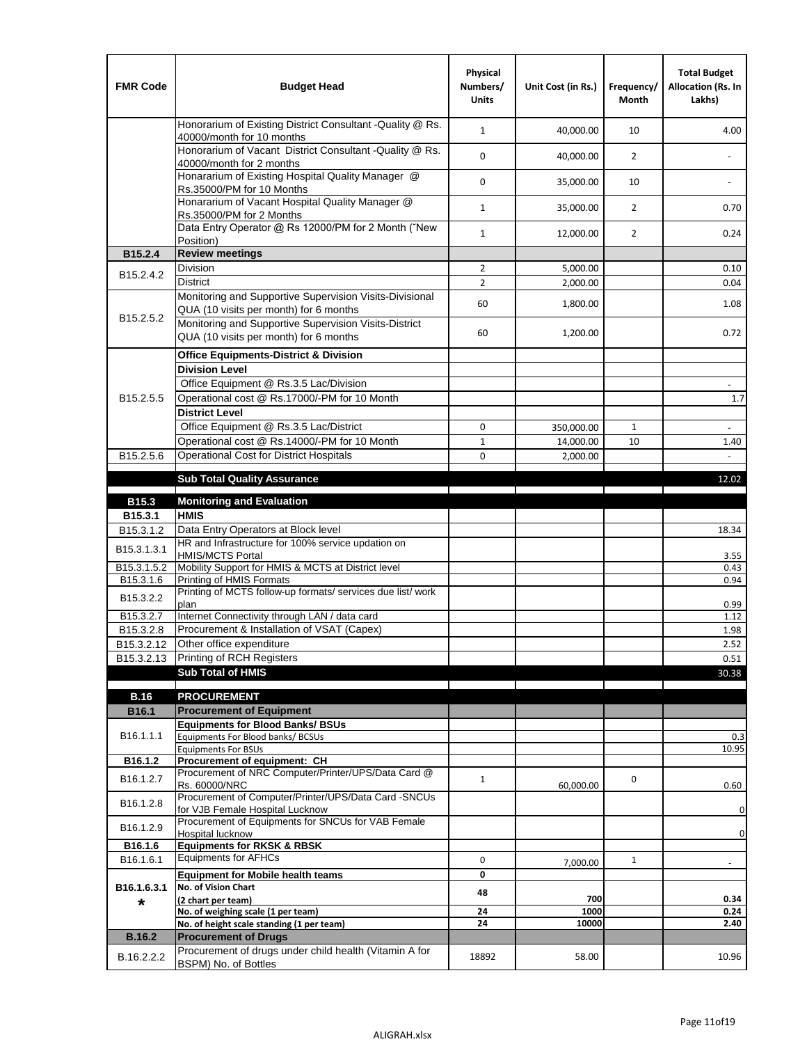| <b>FMR Code</b>         | <b>Budget Head</b>                                                                                | Physical<br>Numbers/<br><b>Units</b> | Unit Cost (in Rs.) | Frequency/<br><b>Month</b> | <b>Total Budget</b><br>Allocation (Rs. In<br>Lakhs) |
|-------------------------|---------------------------------------------------------------------------------------------------|--------------------------------------|--------------------|----------------------------|-----------------------------------------------------|
|                         | Honorarium of Existing District Consultant -Quality @ Rs.<br>40000/month for 10 months            | $\mathbf{1}$                         | 40,000.00          | 10                         | 4.00                                                |
|                         | Honorarium of Vacant District Consultant -Quality @ Rs.<br>40000/month for 2 months               | $\mathbf 0$                          | 40,000.00          | $\overline{2}$             | $\ddot{\phantom{a}}$                                |
|                         | Honararium of Existing Hospital Quality Manager @<br>Rs.35000/PM for 10 Months                    | 0                                    | 35,000.00          | 10                         |                                                     |
|                         | Honararium of Vacant Hospital Quality Manager @<br>Rs.35000/PM for 2 Months                       | $\mathbf{1}$                         | 35,000.00          | $\overline{2}$             | 0.70                                                |
|                         | Data Entry Operator @ Rs 12000/PM for 2 Month ("New<br>Position)                                  | $\mathbf{1}$                         | 12,000.00          | $\overline{2}$             | 0.24                                                |
| B15.2.4                 | <b>Review meetings</b>                                                                            |                                      |                    |                            |                                                     |
| B <sub>15.2</sub> .4.2  | Division                                                                                          | $\overline{2}$                       | 5,000.00           |                            | 0.10                                                |
|                         | <b>District</b>                                                                                   | $\overline{2}$                       | 2,000.00           |                            | 0.04                                                |
| B15.2.5.2               | Monitoring and Supportive Supervision Visits-Divisional<br>QUA (10 visits per month) for 6 months | 60                                   | 1,800.00           |                            | 1.08                                                |
|                         | Monitoring and Supportive Supervision Visits-District<br>QUA (10 visits per month) for 6 months   | 60                                   | 1,200.00           |                            | 0.72                                                |
|                         | <b>Office Equipments-District &amp; Division</b>                                                  |                                      |                    |                            |                                                     |
|                         | <b>Division Level</b>                                                                             |                                      |                    |                            |                                                     |
|                         | Office Equipment @ Rs.3.5 Lac/Division                                                            |                                      |                    |                            | $\overline{\phantom{a}}$                            |
| B15.2.5.5               | Operational cost @ Rs.17000/-PM for 10 Month                                                      |                                      |                    |                            | 1.7                                                 |
|                         | <b>District Level</b>                                                                             |                                      |                    |                            |                                                     |
|                         | Office Equipment @ Rs.3.5 Lac/District                                                            | 0                                    | 350,000.00         | 1                          | $\blacksquare$                                      |
|                         | Operational cost @ Rs.14000/-PM for 10 Month                                                      | $1\,$                                | 14,000.00          | 10                         | 1.40                                                |
| B15.2.5.6               | <b>Operational Cost for District Hospitals</b>                                                    | 0                                    | 2,000.00           |                            | $\mathbf{r}$                                        |
|                         | <b>Sub Total Quality Assurance</b>                                                                |                                      |                    |                            | 12.02                                               |
| B15.3                   | <b>Monitoring and Evaluation</b>                                                                  |                                      |                    |                            |                                                     |
| B15.3.1                 | <b>HMIS</b>                                                                                       |                                      |                    |                            |                                                     |
| B15.3.1.2               | Data Entry Operators at Block level                                                               |                                      |                    |                            | 18.34                                               |
| B15.3.1.3.1             | HR and Infrastructure for 100% service updation on<br><b>HMIS/MCTS Portal</b>                     |                                      |                    |                            | 3.55                                                |
| B <sub>15.3.1.5.2</sub> | Mobility Support for HMIS & MCTS at District level                                                |                                      |                    |                            | 0.43                                                |
| B15.3.1.6               | Printing of HMIS Formats<br>Printing of MCTS follow-up formats/ services due list/ work           |                                      |                    |                            | 0.94                                                |
| B15.3.2.2               | plan                                                                                              |                                      |                    |                            | 0.99                                                |
| B15.3.2.7               | Internet Connectivity through LAN / data card                                                     |                                      |                    |                            | 1.12                                                |
| B15.3.2.8               | Procurement & Installation of VSAT (Capex)                                                        |                                      |                    |                            | 1.98                                                |
| B15.3.2.12              | Other office expenditure                                                                          |                                      |                    |                            | 2.52                                                |
| B15.3.2.13              | Printing of RCH Registers                                                                         |                                      |                    |                            | 0.51                                                |
|                         | <b>Sub Total of HMIS</b>                                                                          |                                      |                    |                            | 30.38                                               |
| <b>B.16</b>             | <b>PROCUREMENT</b>                                                                                |                                      |                    |                            |                                                     |
| B16.1                   | <b>Procurement of Equipment</b>                                                                   |                                      |                    |                            |                                                     |
|                         | <b>Equipments for Blood Banks/ BSUs</b>                                                           |                                      |                    |                            |                                                     |
| B16.1.1.1               | Equipments For Blood banks/ BCSUs                                                                 |                                      |                    |                            | 0.3                                                 |
| B16.1.2                 | <b>Equipments For BSUs</b><br>Procurement of equipment: CH                                        |                                      |                    |                            | 10.95                                               |
|                         | Procurement of NRC Computer/Printer/UPS/Data Card @                                               |                                      |                    |                            |                                                     |
| B16.1.2.7               | Rs. 60000/NRC                                                                                     | $\mathbf{1}$                         | 60,000.00          | 0                          | 0.60                                                |
| B16.1.2.8               | Procurement of Computer/Printer/UPS/Data Card -SNCUs                                              |                                      |                    |                            |                                                     |
|                         | for VJB Female Hospital Lucknow<br>Procurement of Equipments for SNCUs for VAB Female             |                                      |                    |                            | 0                                                   |
| B16.1.2.9               | Hospital lucknow                                                                                  |                                      |                    |                            | 0                                                   |
| B16.1.6                 | <b>Equipments for RKSK &amp; RBSK</b>                                                             |                                      |                    |                            |                                                     |
| B16.1.6.1               | <b>Equipments for AFHCs</b>                                                                       | 0                                    | 7,000.00           | $\mathbf{1}$               | ÷,                                                  |
|                         | <b>Equipment for Mobile health teams</b>                                                          | 0                                    |                    |                            |                                                     |
| B16.1.6.3.1             | No. of Vision Chart                                                                               | 48                                   | 700                |                            | 0.34                                                |
| *                       | (2 chart per team)<br>No. of weighing scale (1 per team)                                          | 24                                   | 1000               |                            | 0.24                                                |
|                         | No. of height scale standing (1 per team)                                                         | 24                                   | 10000              |                            | 2.40                                                |
| <b>B.16.2</b>           | <b>Procurement of Drugs</b>                                                                       |                                      |                    |                            |                                                     |
| B.16.2.2.2              | Procurement of drugs under child health (Vitamin A for                                            | 18892                                | 58.00              |                            | 10.96                                               |
|                         | BSPM) No. of Bottles                                                                              |                                      |                    |                            |                                                     |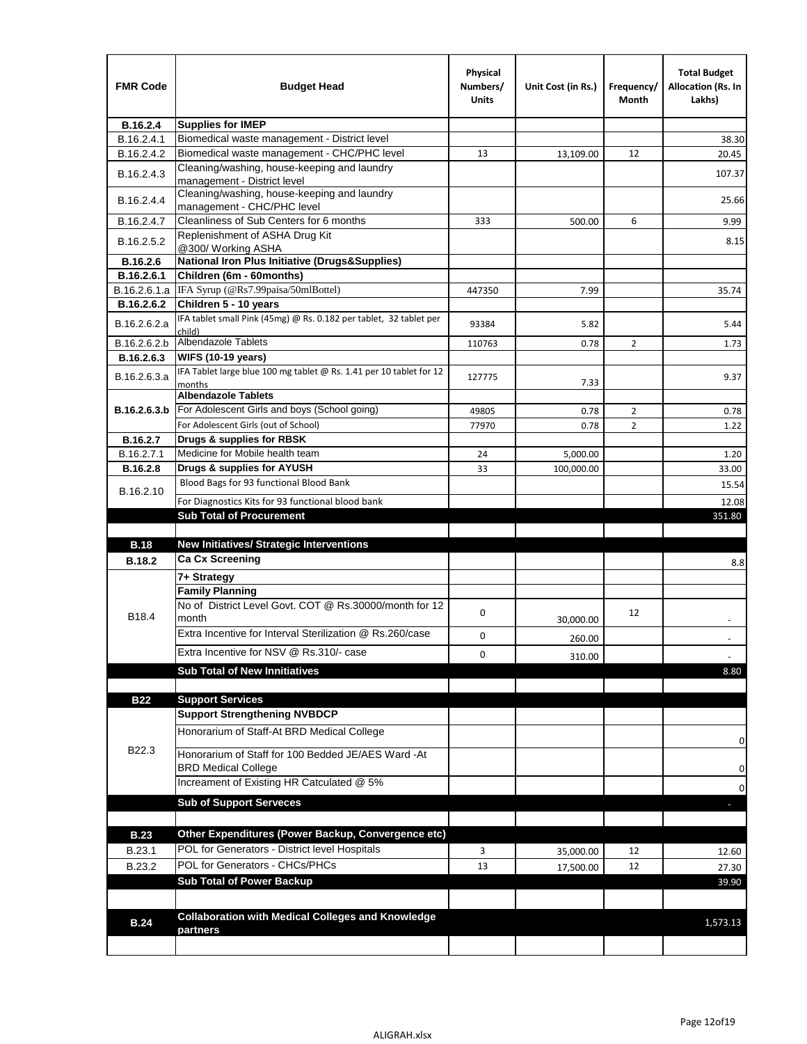| <b>FMR Code</b> | <b>Budget Head</b>                                                                | Physical<br>Numbers/<br>Units | Unit Cost (in Rs.) | Frequency/<br>Month | <b>Total Budget</b><br><b>Allocation (Rs. In</b><br>Lakhs) |
|-----------------|-----------------------------------------------------------------------------------|-------------------------------|--------------------|---------------------|------------------------------------------------------------|
| B.16.2.4        | <b>Supplies for IMEP</b>                                                          |                               |                    |                     |                                                            |
| B.16.2.4.1      | Biomedical waste management - District level                                      |                               |                    |                     | 38.30                                                      |
| B.16.2.4.2      | Biomedical waste management - CHC/PHC level                                       | 13                            | 13,109.00          | 12                  | 20.45                                                      |
| B.16.2.4.3      | Cleaning/washing, house-keeping and laundry<br>management - District level        |                               |                    |                     | 107.37                                                     |
| B.16.2.4.4      | Cleaning/washing, house-keeping and laundry<br>management - CHC/PHC level         |                               |                    |                     | 25.66                                                      |
| B.16.2.4.7      | Cleanliness of Sub Centers for 6 months                                           | 333                           | 500.00             | 6                   | 9.99                                                       |
| B.16.2.5.2      | Replenishment of ASHA Drug Kit<br>@300/ Working ASHA                              |                               |                    |                     | 8.15                                                       |
| B.16.2.6        | <b>National Iron Plus Initiative (Drugs&amp;Supplies)</b>                         |                               |                    |                     |                                                            |
| B.16.2.6.1      | Children (6m - 60months)                                                          |                               |                    |                     |                                                            |
| B.16.2.6.1.a    | IFA Syrup (@Rs7.99paisa/50mlBottel)                                               | 447350                        | 7.99               |                     | 35.74                                                      |
| B.16.2.6.2      | Children 5 - 10 years                                                             |                               |                    |                     |                                                            |
| B.16.2.6.2.a    | IFA tablet small Pink (45mg) @ Rs. 0.182 per tablet, 32 tablet per<br>child)      | 93384                         | 5.82               |                     | 5.44                                                       |
| B.16.2.6.2.b    | Albendazole Tablets                                                               | 110763                        | 0.78               | 2                   | 1.73                                                       |
| B.16.2.6.3      | <b>WIFS (10-19 years)</b>                                                         |                               |                    |                     |                                                            |
| B.16.2.6.3.a    | IFA Tablet large blue 100 mg tablet @ Rs. 1.41 per 10 tablet for 12<br>months     | 127775                        | 7.33               |                     | 9.37                                                       |
|                 | <b>Albendazole Tablets</b>                                                        |                               |                    |                     |                                                            |
| B.16.2.6.3.b    | For Adolescent Girls and boys (School going)                                      | 49805                         | 0.78               | $\overline{2}$      | 0.78                                                       |
|                 | For Adolescent Girls (out of School)                                              | 77970                         | 0.78               | $\overline{2}$      | 1.22                                                       |
| B.16.2.7        | Drugs & supplies for RBSK                                                         |                               |                    |                     |                                                            |
| B.16.2.7.1      | Medicine for Mobile health team                                                   | 24                            | 5,000.00           |                     | 1.20                                                       |
| <b>B.16.2.8</b> | Drugs & supplies for AYUSH                                                        | 33                            | 100,000.00         |                     | 33.00                                                      |
| B.16.2.10       | Blood Bags for 93 functional Blood Bank                                           |                               |                    |                     | 15.54                                                      |
|                 | For Diagnostics Kits for 93 functional blood bank                                 |                               |                    |                     | 12.08                                                      |
|                 | <b>Sub Total of Procurement</b>                                                   |                               |                    |                     | 351.80                                                     |
| <b>B.18</b>     | <b>New Initiatives/ Strategic Interventions</b>                                   |                               |                    |                     |                                                            |
|                 | <b>Ca Cx Screening</b>                                                            |                               |                    |                     |                                                            |
| <b>B.18.2</b>   |                                                                                   |                               |                    |                     | 8.8                                                        |
|                 | 7+ Strategy<br><b>Family Planning</b>                                             |                               |                    |                     |                                                            |
| B18.4           | No of District Level Govt. COT @ Rs.30000/month for 12<br>month                   | 0                             |                    | 12                  |                                                            |
|                 | Extra Incentive for Interval Sterilization @ Rs.260/case                          |                               | 30,000.00          |                     |                                                            |
|                 |                                                                                   | 0                             | 260.00             |                     |                                                            |
|                 | Extra Incentive for NSV @ Rs.310/- case                                           | 0                             | 310.00             |                     |                                                            |
|                 | <b>Sub Total of New Innitiatives</b>                                              |                               |                    |                     | 8.80                                                       |
|                 |                                                                                   |                               |                    |                     |                                                            |
| <b>B22</b>      | <b>Support Services</b>                                                           |                               |                    |                     |                                                            |
|                 | <b>Support Strengthening NVBDCP</b><br>Honorarium of Staff-At BRD Medical College |                               |                    |                     |                                                            |
| B22.3           | Honorarium of Staff for 100 Bedded JE/AES Ward -At                                |                               |                    |                     | 0                                                          |
|                 | <b>BRD Medical College</b><br>Increament of Existing HR Catculated @ 5%           |                               |                    |                     | 0                                                          |
|                 |                                                                                   |                               |                    |                     | 0                                                          |
|                 | <b>Sub of Support Serveces</b>                                                    |                               |                    |                     |                                                            |
|                 |                                                                                   |                               |                    |                     |                                                            |
| <b>B.23</b>     | Other Expenditures (Power Backup, Convergence etc)                                |                               |                    |                     |                                                            |
| B.23.1          | POL for Generators - District level Hospitals                                     | 3                             | 35,000.00          | 12                  | 12.60                                                      |
| B.23.2          | POL for Generators - CHCs/PHCs                                                    | 13                            | 17,500.00          | 12                  | 27.30                                                      |
|                 | <b>Sub Total of Power Backup</b>                                                  |                               |                    |                     | 39.90                                                      |
|                 |                                                                                   |                               |                    |                     |                                                            |
| <b>B.24</b>     | <b>Collaboration with Medical Colleges and Knowledge</b><br>partners              |                               |                    |                     | 1,573.13                                                   |
|                 |                                                                                   |                               |                    |                     |                                                            |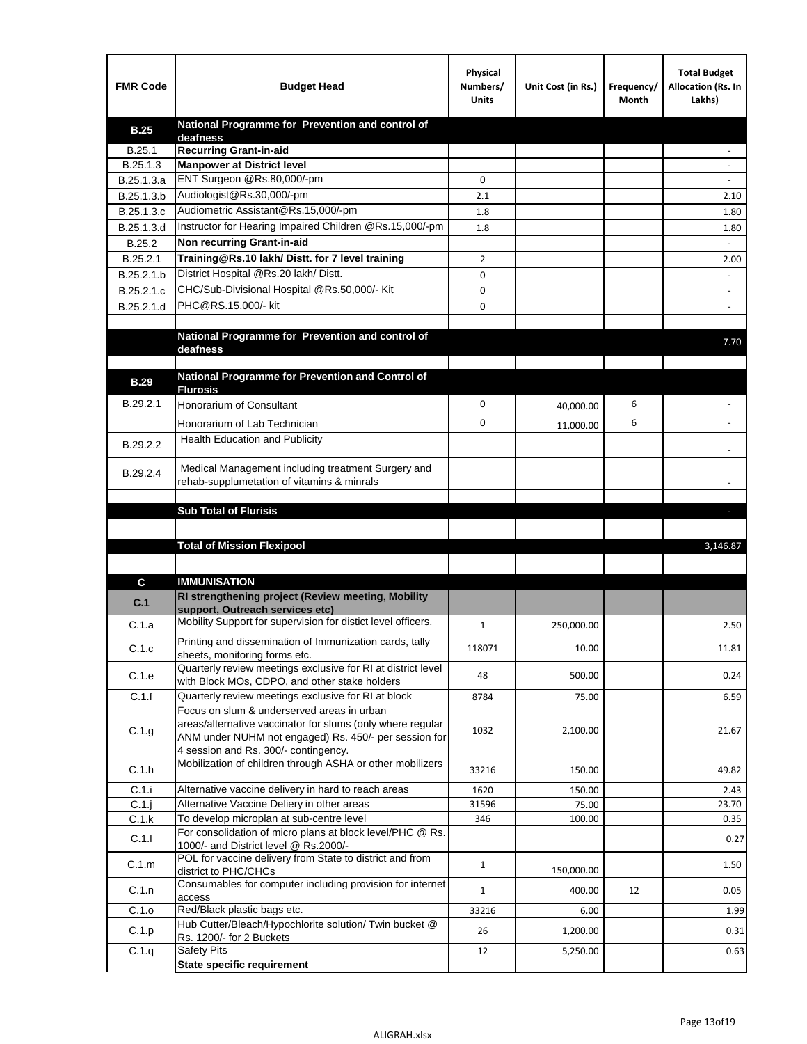| National Programme for Prevention and control of<br><b>B.25</b><br>deafness<br><b>Recurring Grant-in-aid</b><br>B.25.1<br>B.25.1.3<br><b>Manpower at District level</b><br>ENT Surgeon @Rs.80,000/-pm<br>B.25.1.3.a<br>0<br>Audiologist@Rs.30,000/-pm<br>B.25.1.3.b<br>2.1<br>2.10<br>Audiometric Assistant@Rs.15,000/-pm<br>B.25.1.3.c<br>1.8<br>1.80<br>Instructor for Hearing Impaired Children @Rs.15,000/-pm<br>B.25.1.3.d<br>1.8<br>1.80<br>Non recurring Grant-in-aid<br>B.25.2<br>Training@Rs.10 lakh/ Distt. for 7 level training<br>B.25.2.1<br>2<br>2.00<br>District Hospital @Rs.20 lakh/Distt.<br>B.25.2.1.b<br>0<br>CHC/Sub-Divisional Hospital @Rs.50,000/- Kit<br>B.25.2.1.c<br>0<br>PHC@RS.15,000/- kit<br>B.25.2.1.d<br>0<br>National Programme for Prevention and control of<br>7.70<br>deafness<br>National Programme for Prevention and Control of<br><b>B.29</b><br><b>Flurosis</b><br>B.29.2.1<br>0<br>6<br><b>Honorarium of Consultant</b><br>40,000.00<br>0<br>6<br>Honorarium of Lab Technician<br>11,000.00<br>Health Education and Publicity<br>B.29.2.2<br>Medical Management including treatment Surgery and<br>B.29.2.4<br>rehab-supplumetation of vitamins & minrals<br><b>Sub Total of Flurisis</b><br>ы<br><b>Total of Mission Flexipool</b><br>3,146.87<br><b>IMMUNISATION</b><br>C<br>RI strengthening project (Review meeting, Mobility<br>C.1<br>support, Outreach services etc)<br>Mobility Support for supervision for distict level officers.<br>C.1.a<br>1<br>250,000.00<br>2.50<br>Printing and dissemination of Immunization cards, tally<br>C.1.c<br>118071<br>10.00<br>11.81<br>sheets, monitoring forms etc.<br>Quarterly review meetings exclusive for RI at district level<br>C.1.e<br>48<br>500.00<br>0.24<br>with Block MOs, CDPO, and other stake holders<br>C.1.f<br>Quarterly review meetings exclusive for RI at block<br>8784<br>75.00<br>6.59<br>Focus on slum & underserved areas in urban<br>areas/alternative vaccinator for slums (only where regular<br>C.1.g<br>1032<br>2,100.00<br>21.67<br>ANM under NUHM not engaged) Rs. 450/- per session for<br>4 session and Rs. 300/- contingency.<br>Mobilization of children through ASHA or other mobilizers<br>C.1.h<br>33216<br>49.82<br>150.00<br>C.1.i<br>Alternative vaccine delivery in hard to reach areas<br>1620<br>2.43<br>150.00<br>$C.1$ .j<br>Alternative Vaccine Deliery in other areas<br>31596<br>75.00<br>23.70<br>To develop microplan at sub-centre level<br>C.1.k<br>346<br>100.00<br>0.35<br>For consolidation of micro plans at block level/PHC @ Rs.<br>C.1.1<br>0.27<br>1000/- and District level @ Rs.2000/-<br>POL for vaccine delivery from State to district and from<br>C.1.m<br>$\mathbf{1}$<br>1.50<br>150,000.00<br>district to PHC/CHCs<br>Consumables for computer including provision for internet<br>C.1.n<br>0.05<br>$\mathbf{1}$<br>400.00<br>12<br>access<br>Red/Black plastic bags etc.<br>C.1.o<br>33216<br>1.99<br>6.00<br>Hub Cutter/Bleach/Hypochlorite solution/ Twin bucket @<br>C.1.p<br>26<br>1,200.00<br>0.31<br>Rs. 1200/- for 2 Buckets<br><b>Safety Pits</b><br>C.1.q<br>12<br>5,250.00<br>0.63<br><b>State specific requirement</b> | <b>FMR Code</b> | <b>Budget Head</b> | Physical<br>Numbers/<br><b>Units</b> | Unit Cost (in Rs.) | Frequency/<br>Month | <b>Total Budget</b><br>Allocation (Rs. In<br>Lakhs) |
|----------------------------------------------------------------------------------------------------------------------------------------------------------------------------------------------------------------------------------------------------------------------------------------------------------------------------------------------------------------------------------------------------------------------------------------------------------------------------------------------------------------------------------------------------------------------------------------------------------------------------------------------------------------------------------------------------------------------------------------------------------------------------------------------------------------------------------------------------------------------------------------------------------------------------------------------------------------------------------------------------------------------------------------------------------------------------------------------------------------------------------------------------------------------------------------------------------------------------------------------------------------------------------------------------------------------------------------------------------------------------------------------------------------------------------------------------------------------------------------------------------------------------------------------------------------------------------------------------------------------------------------------------------------------------------------------------------------------------------------------------------------------------------------------------------------------------------------------------------------------------------------------------------------------------------------------------------------------------------------------------------------------------------------------------------------------------------------------------------------------------------------------------------------------------------------------------------------------------------------------------------------------------------------------------------------------------------------------------------------------------------------------------------------------------------------------------------------------------------------------------------------------------------------------------------------------------------------------------------------------------------------------------------------------------------------------------------------------------------------------------------------------------------------------------------------------------------------------------------------------------------------------------------------------------------------------------------------------------------------------------------------------------------------------------------------------------------------------------------------------------------------------------------------------------------------------------|-----------------|--------------------|--------------------------------------|--------------------|---------------------|-----------------------------------------------------|
|                                                                                                                                                                                                                                                                                                                                                                                                                                                                                                                                                                                                                                                                                                                                                                                                                                                                                                                                                                                                                                                                                                                                                                                                                                                                                                                                                                                                                                                                                                                                                                                                                                                                                                                                                                                                                                                                                                                                                                                                                                                                                                                                                                                                                                                                                                                                                                                                                                                                                                                                                                                                                                                                                                                                                                                                                                                                                                                                                                                                                                                                                                                                                                                                    |                 |                    |                                      |                    |                     |                                                     |
|                                                                                                                                                                                                                                                                                                                                                                                                                                                                                                                                                                                                                                                                                                                                                                                                                                                                                                                                                                                                                                                                                                                                                                                                                                                                                                                                                                                                                                                                                                                                                                                                                                                                                                                                                                                                                                                                                                                                                                                                                                                                                                                                                                                                                                                                                                                                                                                                                                                                                                                                                                                                                                                                                                                                                                                                                                                                                                                                                                                                                                                                                                                                                                                                    |                 |                    |                                      |                    |                     |                                                     |
|                                                                                                                                                                                                                                                                                                                                                                                                                                                                                                                                                                                                                                                                                                                                                                                                                                                                                                                                                                                                                                                                                                                                                                                                                                                                                                                                                                                                                                                                                                                                                                                                                                                                                                                                                                                                                                                                                                                                                                                                                                                                                                                                                                                                                                                                                                                                                                                                                                                                                                                                                                                                                                                                                                                                                                                                                                                                                                                                                                                                                                                                                                                                                                                                    |                 |                    |                                      |                    |                     |                                                     |
|                                                                                                                                                                                                                                                                                                                                                                                                                                                                                                                                                                                                                                                                                                                                                                                                                                                                                                                                                                                                                                                                                                                                                                                                                                                                                                                                                                                                                                                                                                                                                                                                                                                                                                                                                                                                                                                                                                                                                                                                                                                                                                                                                                                                                                                                                                                                                                                                                                                                                                                                                                                                                                                                                                                                                                                                                                                                                                                                                                                                                                                                                                                                                                                                    |                 |                    |                                      |                    |                     |                                                     |
|                                                                                                                                                                                                                                                                                                                                                                                                                                                                                                                                                                                                                                                                                                                                                                                                                                                                                                                                                                                                                                                                                                                                                                                                                                                                                                                                                                                                                                                                                                                                                                                                                                                                                                                                                                                                                                                                                                                                                                                                                                                                                                                                                                                                                                                                                                                                                                                                                                                                                                                                                                                                                                                                                                                                                                                                                                                                                                                                                                                                                                                                                                                                                                                                    |                 |                    |                                      |                    |                     |                                                     |
|                                                                                                                                                                                                                                                                                                                                                                                                                                                                                                                                                                                                                                                                                                                                                                                                                                                                                                                                                                                                                                                                                                                                                                                                                                                                                                                                                                                                                                                                                                                                                                                                                                                                                                                                                                                                                                                                                                                                                                                                                                                                                                                                                                                                                                                                                                                                                                                                                                                                                                                                                                                                                                                                                                                                                                                                                                                                                                                                                                                                                                                                                                                                                                                                    |                 |                    |                                      |                    |                     |                                                     |
|                                                                                                                                                                                                                                                                                                                                                                                                                                                                                                                                                                                                                                                                                                                                                                                                                                                                                                                                                                                                                                                                                                                                                                                                                                                                                                                                                                                                                                                                                                                                                                                                                                                                                                                                                                                                                                                                                                                                                                                                                                                                                                                                                                                                                                                                                                                                                                                                                                                                                                                                                                                                                                                                                                                                                                                                                                                                                                                                                                                                                                                                                                                                                                                                    |                 |                    |                                      |                    |                     |                                                     |
|                                                                                                                                                                                                                                                                                                                                                                                                                                                                                                                                                                                                                                                                                                                                                                                                                                                                                                                                                                                                                                                                                                                                                                                                                                                                                                                                                                                                                                                                                                                                                                                                                                                                                                                                                                                                                                                                                                                                                                                                                                                                                                                                                                                                                                                                                                                                                                                                                                                                                                                                                                                                                                                                                                                                                                                                                                                                                                                                                                                                                                                                                                                                                                                                    |                 |                    |                                      |                    |                     |                                                     |
|                                                                                                                                                                                                                                                                                                                                                                                                                                                                                                                                                                                                                                                                                                                                                                                                                                                                                                                                                                                                                                                                                                                                                                                                                                                                                                                                                                                                                                                                                                                                                                                                                                                                                                                                                                                                                                                                                                                                                                                                                                                                                                                                                                                                                                                                                                                                                                                                                                                                                                                                                                                                                                                                                                                                                                                                                                                                                                                                                                                                                                                                                                                                                                                                    |                 |                    |                                      |                    |                     |                                                     |
|                                                                                                                                                                                                                                                                                                                                                                                                                                                                                                                                                                                                                                                                                                                                                                                                                                                                                                                                                                                                                                                                                                                                                                                                                                                                                                                                                                                                                                                                                                                                                                                                                                                                                                                                                                                                                                                                                                                                                                                                                                                                                                                                                                                                                                                                                                                                                                                                                                                                                                                                                                                                                                                                                                                                                                                                                                                                                                                                                                                                                                                                                                                                                                                                    |                 |                    |                                      |                    |                     |                                                     |
|                                                                                                                                                                                                                                                                                                                                                                                                                                                                                                                                                                                                                                                                                                                                                                                                                                                                                                                                                                                                                                                                                                                                                                                                                                                                                                                                                                                                                                                                                                                                                                                                                                                                                                                                                                                                                                                                                                                                                                                                                                                                                                                                                                                                                                                                                                                                                                                                                                                                                                                                                                                                                                                                                                                                                                                                                                                                                                                                                                                                                                                                                                                                                                                                    |                 |                    |                                      |                    |                     |                                                     |
|                                                                                                                                                                                                                                                                                                                                                                                                                                                                                                                                                                                                                                                                                                                                                                                                                                                                                                                                                                                                                                                                                                                                                                                                                                                                                                                                                                                                                                                                                                                                                                                                                                                                                                                                                                                                                                                                                                                                                                                                                                                                                                                                                                                                                                                                                                                                                                                                                                                                                                                                                                                                                                                                                                                                                                                                                                                                                                                                                                                                                                                                                                                                                                                                    |                 |                    |                                      |                    |                     |                                                     |
|                                                                                                                                                                                                                                                                                                                                                                                                                                                                                                                                                                                                                                                                                                                                                                                                                                                                                                                                                                                                                                                                                                                                                                                                                                                                                                                                                                                                                                                                                                                                                                                                                                                                                                                                                                                                                                                                                                                                                                                                                                                                                                                                                                                                                                                                                                                                                                                                                                                                                                                                                                                                                                                                                                                                                                                                                                                                                                                                                                                                                                                                                                                                                                                                    |                 |                    |                                      |                    |                     |                                                     |
|                                                                                                                                                                                                                                                                                                                                                                                                                                                                                                                                                                                                                                                                                                                                                                                                                                                                                                                                                                                                                                                                                                                                                                                                                                                                                                                                                                                                                                                                                                                                                                                                                                                                                                                                                                                                                                                                                                                                                                                                                                                                                                                                                                                                                                                                                                                                                                                                                                                                                                                                                                                                                                                                                                                                                                                                                                                                                                                                                                                                                                                                                                                                                                                                    |                 |                    |                                      |                    |                     |                                                     |
|                                                                                                                                                                                                                                                                                                                                                                                                                                                                                                                                                                                                                                                                                                                                                                                                                                                                                                                                                                                                                                                                                                                                                                                                                                                                                                                                                                                                                                                                                                                                                                                                                                                                                                                                                                                                                                                                                                                                                                                                                                                                                                                                                                                                                                                                                                                                                                                                                                                                                                                                                                                                                                                                                                                                                                                                                                                                                                                                                                                                                                                                                                                                                                                                    |                 |                    |                                      |                    |                     |                                                     |
|                                                                                                                                                                                                                                                                                                                                                                                                                                                                                                                                                                                                                                                                                                                                                                                                                                                                                                                                                                                                                                                                                                                                                                                                                                                                                                                                                                                                                                                                                                                                                                                                                                                                                                                                                                                                                                                                                                                                                                                                                                                                                                                                                                                                                                                                                                                                                                                                                                                                                                                                                                                                                                                                                                                                                                                                                                                                                                                                                                                                                                                                                                                                                                                                    |                 |                    |                                      |                    |                     |                                                     |
|                                                                                                                                                                                                                                                                                                                                                                                                                                                                                                                                                                                                                                                                                                                                                                                                                                                                                                                                                                                                                                                                                                                                                                                                                                                                                                                                                                                                                                                                                                                                                                                                                                                                                                                                                                                                                                                                                                                                                                                                                                                                                                                                                                                                                                                                                                                                                                                                                                                                                                                                                                                                                                                                                                                                                                                                                                                                                                                                                                                                                                                                                                                                                                                                    |                 |                    |                                      |                    |                     |                                                     |
|                                                                                                                                                                                                                                                                                                                                                                                                                                                                                                                                                                                                                                                                                                                                                                                                                                                                                                                                                                                                                                                                                                                                                                                                                                                                                                                                                                                                                                                                                                                                                                                                                                                                                                                                                                                                                                                                                                                                                                                                                                                                                                                                                                                                                                                                                                                                                                                                                                                                                                                                                                                                                                                                                                                                                                                                                                                                                                                                                                                                                                                                                                                                                                                                    |                 |                    |                                      |                    |                     |                                                     |
|                                                                                                                                                                                                                                                                                                                                                                                                                                                                                                                                                                                                                                                                                                                                                                                                                                                                                                                                                                                                                                                                                                                                                                                                                                                                                                                                                                                                                                                                                                                                                                                                                                                                                                                                                                                                                                                                                                                                                                                                                                                                                                                                                                                                                                                                                                                                                                                                                                                                                                                                                                                                                                                                                                                                                                                                                                                                                                                                                                                                                                                                                                                                                                                                    |                 |                    |                                      |                    |                     |                                                     |
|                                                                                                                                                                                                                                                                                                                                                                                                                                                                                                                                                                                                                                                                                                                                                                                                                                                                                                                                                                                                                                                                                                                                                                                                                                                                                                                                                                                                                                                                                                                                                                                                                                                                                                                                                                                                                                                                                                                                                                                                                                                                                                                                                                                                                                                                                                                                                                                                                                                                                                                                                                                                                                                                                                                                                                                                                                                                                                                                                                                                                                                                                                                                                                                                    |                 |                    |                                      |                    |                     |                                                     |
|                                                                                                                                                                                                                                                                                                                                                                                                                                                                                                                                                                                                                                                                                                                                                                                                                                                                                                                                                                                                                                                                                                                                                                                                                                                                                                                                                                                                                                                                                                                                                                                                                                                                                                                                                                                                                                                                                                                                                                                                                                                                                                                                                                                                                                                                                                                                                                                                                                                                                                                                                                                                                                                                                                                                                                                                                                                                                                                                                                                                                                                                                                                                                                                                    |                 |                    |                                      |                    |                     |                                                     |
|                                                                                                                                                                                                                                                                                                                                                                                                                                                                                                                                                                                                                                                                                                                                                                                                                                                                                                                                                                                                                                                                                                                                                                                                                                                                                                                                                                                                                                                                                                                                                                                                                                                                                                                                                                                                                                                                                                                                                                                                                                                                                                                                                                                                                                                                                                                                                                                                                                                                                                                                                                                                                                                                                                                                                                                                                                                                                                                                                                                                                                                                                                                                                                                                    |                 |                    |                                      |                    |                     |                                                     |
|                                                                                                                                                                                                                                                                                                                                                                                                                                                                                                                                                                                                                                                                                                                                                                                                                                                                                                                                                                                                                                                                                                                                                                                                                                                                                                                                                                                                                                                                                                                                                                                                                                                                                                                                                                                                                                                                                                                                                                                                                                                                                                                                                                                                                                                                                                                                                                                                                                                                                                                                                                                                                                                                                                                                                                                                                                                                                                                                                                                                                                                                                                                                                                                                    |                 |                    |                                      |                    |                     |                                                     |
|                                                                                                                                                                                                                                                                                                                                                                                                                                                                                                                                                                                                                                                                                                                                                                                                                                                                                                                                                                                                                                                                                                                                                                                                                                                                                                                                                                                                                                                                                                                                                                                                                                                                                                                                                                                                                                                                                                                                                                                                                                                                                                                                                                                                                                                                                                                                                                                                                                                                                                                                                                                                                                                                                                                                                                                                                                                                                                                                                                                                                                                                                                                                                                                                    |                 |                    |                                      |                    |                     |                                                     |
|                                                                                                                                                                                                                                                                                                                                                                                                                                                                                                                                                                                                                                                                                                                                                                                                                                                                                                                                                                                                                                                                                                                                                                                                                                                                                                                                                                                                                                                                                                                                                                                                                                                                                                                                                                                                                                                                                                                                                                                                                                                                                                                                                                                                                                                                                                                                                                                                                                                                                                                                                                                                                                                                                                                                                                                                                                                                                                                                                                                                                                                                                                                                                                                                    |                 |                    |                                      |                    |                     |                                                     |
|                                                                                                                                                                                                                                                                                                                                                                                                                                                                                                                                                                                                                                                                                                                                                                                                                                                                                                                                                                                                                                                                                                                                                                                                                                                                                                                                                                                                                                                                                                                                                                                                                                                                                                                                                                                                                                                                                                                                                                                                                                                                                                                                                                                                                                                                                                                                                                                                                                                                                                                                                                                                                                                                                                                                                                                                                                                                                                                                                                                                                                                                                                                                                                                                    |                 |                    |                                      |                    |                     |                                                     |
|                                                                                                                                                                                                                                                                                                                                                                                                                                                                                                                                                                                                                                                                                                                                                                                                                                                                                                                                                                                                                                                                                                                                                                                                                                                                                                                                                                                                                                                                                                                                                                                                                                                                                                                                                                                                                                                                                                                                                                                                                                                                                                                                                                                                                                                                                                                                                                                                                                                                                                                                                                                                                                                                                                                                                                                                                                                                                                                                                                                                                                                                                                                                                                                                    |                 |                    |                                      |                    |                     |                                                     |
|                                                                                                                                                                                                                                                                                                                                                                                                                                                                                                                                                                                                                                                                                                                                                                                                                                                                                                                                                                                                                                                                                                                                                                                                                                                                                                                                                                                                                                                                                                                                                                                                                                                                                                                                                                                                                                                                                                                                                                                                                                                                                                                                                                                                                                                                                                                                                                                                                                                                                                                                                                                                                                                                                                                                                                                                                                                                                                                                                                                                                                                                                                                                                                                                    |                 |                    |                                      |                    |                     |                                                     |
|                                                                                                                                                                                                                                                                                                                                                                                                                                                                                                                                                                                                                                                                                                                                                                                                                                                                                                                                                                                                                                                                                                                                                                                                                                                                                                                                                                                                                                                                                                                                                                                                                                                                                                                                                                                                                                                                                                                                                                                                                                                                                                                                                                                                                                                                                                                                                                                                                                                                                                                                                                                                                                                                                                                                                                                                                                                                                                                                                                                                                                                                                                                                                                                                    |                 |                    |                                      |                    |                     |                                                     |
|                                                                                                                                                                                                                                                                                                                                                                                                                                                                                                                                                                                                                                                                                                                                                                                                                                                                                                                                                                                                                                                                                                                                                                                                                                                                                                                                                                                                                                                                                                                                                                                                                                                                                                                                                                                                                                                                                                                                                                                                                                                                                                                                                                                                                                                                                                                                                                                                                                                                                                                                                                                                                                                                                                                                                                                                                                                                                                                                                                                                                                                                                                                                                                                                    |                 |                    |                                      |                    |                     |                                                     |
|                                                                                                                                                                                                                                                                                                                                                                                                                                                                                                                                                                                                                                                                                                                                                                                                                                                                                                                                                                                                                                                                                                                                                                                                                                                                                                                                                                                                                                                                                                                                                                                                                                                                                                                                                                                                                                                                                                                                                                                                                                                                                                                                                                                                                                                                                                                                                                                                                                                                                                                                                                                                                                                                                                                                                                                                                                                                                                                                                                                                                                                                                                                                                                                                    |                 |                    |                                      |                    |                     |                                                     |
|                                                                                                                                                                                                                                                                                                                                                                                                                                                                                                                                                                                                                                                                                                                                                                                                                                                                                                                                                                                                                                                                                                                                                                                                                                                                                                                                                                                                                                                                                                                                                                                                                                                                                                                                                                                                                                                                                                                                                                                                                                                                                                                                                                                                                                                                                                                                                                                                                                                                                                                                                                                                                                                                                                                                                                                                                                                                                                                                                                                                                                                                                                                                                                                                    |                 |                    |                                      |                    |                     |                                                     |
|                                                                                                                                                                                                                                                                                                                                                                                                                                                                                                                                                                                                                                                                                                                                                                                                                                                                                                                                                                                                                                                                                                                                                                                                                                                                                                                                                                                                                                                                                                                                                                                                                                                                                                                                                                                                                                                                                                                                                                                                                                                                                                                                                                                                                                                                                                                                                                                                                                                                                                                                                                                                                                                                                                                                                                                                                                                                                                                                                                                                                                                                                                                                                                                                    |                 |                    |                                      |                    |                     |                                                     |
|                                                                                                                                                                                                                                                                                                                                                                                                                                                                                                                                                                                                                                                                                                                                                                                                                                                                                                                                                                                                                                                                                                                                                                                                                                                                                                                                                                                                                                                                                                                                                                                                                                                                                                                                                                                                                                                                                                                                                                                                                                                                                                                                                                                                                                                                                                                                                                                                                                                                                                                                                                                                                                                                                                                                                                                                                                                                                                                                                                                                                                                                                                                                                                                                    |                 |                    |                                      |                    |                     |                                                     |
|                                                                                                                                                                                                                                                                                                                                                                                                                                                                                                                                                                                                                                                                                                                                                                                                                                                                                                                                                                                                                                                                                                                                                                                                                                                                                                                                                                                                                                                                                                                                                                                                                                                                                                                                                                                                                                                                                                                                                                                                                                                                                                                                                                                                                                                                                                                                                                                                                                                                                                                                                                                                                                                                                                                                                                                                                                                                                                                                                                                                                                                                                                                                                                                                    |                 |                    |                                      |                    |                     |                                                     |
|                                                                                                                                                                                                                                                                                                                                                                                                                                                                                                                                                                                                                                                                                                                                                                                                                                                                                                                                                                                                                                                                                                                                                                                                                                                                                                                                                                                                                                                                                                                                                                                                                                                                                                                                                                                                                                                                                                                                                                                                                                                                                                                                                                                                                                                                                                                                                                                                                                                                                                                                                                                                                                                                                                                                                                                                                                                                                                                                                                                                                                                                                                                                                                                                    |                 |                    |                                      |                    |                     |                                                     |
|                                                                                                                                                                                                                                                                                                                                                                                                                                                                                                                                                                                                                                                                                                                                                                                                                                                                                                                                                                                                                                                                                                                                                                                                                                                                                                                                                                                                                                                                                                                                                                                                                                                                                                                                                                                                                                                                                                                                                                                                                                                                                                                                                                                                                                                                                                                                                                                                                                                                                                                                                                                                                                                                                                                                                                                                                                                                                                                                                                                                                                                                                                                                                                                                    |                 |                    |                                      |                    |                     |                                                     |
|                                                                                                                                                                                                                                                                                                                                                                                                                                                                                                                                                                                                                                                                                                                                                                                                                                                                                                                                                                                                                                                                                                                                                                                                                                                                                                                                                                                                                                                                                                                                                                                                                                                                                                                                                                                                                                                                                                                                                                                                                                                                                                                                                                                                                                                                                                                                                                                                                                                                                                                                                                                                                                                                                                                                                                                                                                                                                                                                                                                                                                                                                                                                                                                                    |                 |                    |                                      |                    |                     |                                                     |
|                                                                                                                                                                                                                                                                                                                                                                                                                                                                                                                                                                                                                                                                                                                                                                                                                                                                                                                                                                                                                                                                                                                                                                                                                                                                                                                                                                                                                                                                                                                                                                                                                                                                                                                                                                                                                                                                                                                                                                                                                                                                                                                                                                                                                                                                                                                                                                                                                                                                                                                                                                                                                                                                                                                                                                                                                                                                                                                                                                                                                                                                                                                                                                                                    |                 |                    |                                      |                    |                     |                                                     |
|                                                                                                                                                                                                                                                                                                                                                                                                                                                                                                                                                                                                                                                                                                                                                                                                                                                                                                                                                                                                                                                                                                                                                                                                                                                                                                                                                                                                                                                                                                                                                                                                                                                                                                                                                                                                                                                                                                                                                                                                                                                                                                                                                                                                                                                                                                                                                                                                                                                                                                                                                                                                                                                                                                                                                                                                                                                                                                                                                                                                                                                                                                                                                                                                    |                 |                    |                                      |                    |                     |                                                     |
|                                                                                                                                                                                                                                                                                                                                                                                                                                                                                                                                                                                                                                                                                                                                                                                                                                                                                                                                                                                                                                                                                                                                                                                                                                                                                                                                                                                                                                                                                                                                                                                                                                                                                                                                                                                                                                                                                                                                                                                                                                                                                                                                                                                                                                                                                                                                                                                                                                                                                                                                                                                                                                                                                                                                                                                                                                                                                                                                                                                                                                                                                                                                                                                                    |                 |                    |                                      |                    |                     |                                                     |
|                                                                                                                                                                                                                                                                                                                                                                                                                                                                                                                                                                                                                                                                                                                                                                                                                                                                                                                                                                                                                                                                                                                                                                                                                                                                                                                                                                                                                                                                                                                                                                                                                                                                                                                                                                                                                                                                                                                                                                                                                                                                                                                                                                                                                                                                                                                                                                                                                                                                                                                                                                                                                                                                                                                                                                                                                                                                                                                                                                                                                                                                                                                                                                                                    |                 |                    |                                      |                    |                     |                                                     |
|                                                                                                                                                                                                                                                                                                                                                                                                                                                                                                                                                                                                                                                                                                                                                                                                                                                                                                                                                                                                                                                                                                                                                                                                                                                                                                                                                                                                                                                                                                                                                                                                                                                                                                                                                                                                                                                                                                                                                                                                                                                                                                                                                                                                                                                                                                                                                                                                                                                                                                                                                                                                                                                                                                                                                                                                                                                                                                                                                                                                                                                                                                                                                                                                    |                 |                    |                                      |                    |                     |                                                     |
|                                                                                                                                                                                                                                                                                                                                                                                                                                                                                                                                                                                                                                                                                                                                                                                                                                                                                                                                                                                                                                                                                                                                                                                                                                                                                                                                                                                                                                                                                                                                                                                                                                                                                                                                                                                                                                                                                                                                                                                                                                                                                                                                                                                                                                                                                                                                                                                                                                                                                                                                                                                                                                                                                                                                                                                                                                                                                                                                                                                                                                                                                                                                                                                                    |                 |                    |                                      |                    |                     |                                                     |
|                                                                                                                                                                                                                                                                                                                                                                                                                                                                                                                                                                                                                                                                                                                                                                                                                                                                                                                                                                                                                                                                                                                                                                                                                                                                                                                                                                                                                                                                                                                                                                                                                                                                                                                                                                                                                                                                                                                                                                                                                                                                                                                                                                                                                                                                                                                                                                                                                                                                                                                                                                                                                                                                                                                                                                                                                                                                                                                                                                                                                                                                                                                                                                                                    |                 |                    |                                      |                    |                     |                                                     |
|                                                                                                                                                                                                                                                                                                                                                                                                                                                                                                                                                                                                                                                                                                                                                                                                                                                                                                                                                                                                                                                                                                                                                                                                                                                                                                                                                                                                                                                                                                                                                                                                                                                                                                                                                                                                                                                                                                                                                                                                                                                                                                                                                                                                                                                                                                                                                                                                                                                                                                                                                                                                                                                                                                                                                                                                                                                                                                                                                                                                                                                                                                                                                                                                    |                 |                    |                                      |                    |                     |                                                     |
|                                                                                                                                                                                                                                                                                                                                                                                                                                                                                                                                                                                                                                                                                                                                                                                                                                                                                                                                                                                                                                                                                                                                                                                                                                                                                                                                                                                                                                                                                                                                                                                                                                                                                                                                                                                                                                                                                                                                                                                                                                                                                                                                                                                                                                                                                                                                                                                                                                                                                                                                                                                                                                                                                                                                                                                                                                                                                                                                                                                                                                                                                                                                                                                                    |                 |                    |                                      |                    |                     |                                                     |
|                                                                                                                                                                                                                                                                                                                                                                                                                                                                                                                                                                                                                                                                                                                                                                                                                                                                                                                                                                                                                                                                                                                                                                                                                                                                                                                                                                                                                                                                                                                                                                                                                                                                                                                                                                                                                                                                                                                                                                                                                                                                                                                                                                                                                                                                                                                                                                                                                                                                                                                                                                                                                                                                                                                                                                                                                                                                                                                                                                                                                                                                                                                                                                                                    |                 |                    |                                      |                    |                     |                                                     |
|                                                                                                                                                                                                                                                                                                                                                                                                                                                                                                                                                                                                                                                                                                                                                                                                                                                                                                                                                                                                                                                                                                                                                                                                                                                                                                                                                                                                                                                                                                                                                                                                                                                                                                                                                                                                                                                                                                                                                                                                                                                                                                                                                                                                                                                                                                                                                                                                                                                                                                                                                                                                                                                                                                                                                                                                                                                                                                                                                                                                                                                                                                                                                                                                    |                 |                    |                                      |                    |                     |                                                     |
|                                                                                                                                                                                                                                                                                                                                                                                                                                                                                                                                                                                                                                                                                                                                                                                                                                                                                                                                                                                                                                                                                                                                                                                                                                                                                                                                                                                                                                                                                                                                                                                                                                                                                                                                                                                                                                                                                                                                                                                                                                                                                                                                                                                                                                                                                                                                                                                                                                                                                                                                                                                                                                                                                                                                                                                                                                                                                                                                                                                                                                                                                                                                                                                                    |                 |                    |                                      |                    |                     |                                                     |
|                                                                                                                                                                                                                                                                                                                                                                                                                                                                                                                                                                                                                                                                                                                                                                                                                                                                                                                                                                                                                                                                                                                                                                                                                                                                                                                                                                                                                                                                                                                                                                                                                                                                                                                                                                                                                                                                                                                                                                                                                                                                                                                                                                                                                                                                                                                                                                                                                                                                                                                                                                                                                                                                                                                                                                                                                                                                                                                                                                                                                                                                                                                                                                                                    |                 |                    |                                      |                    |                     |                                                     |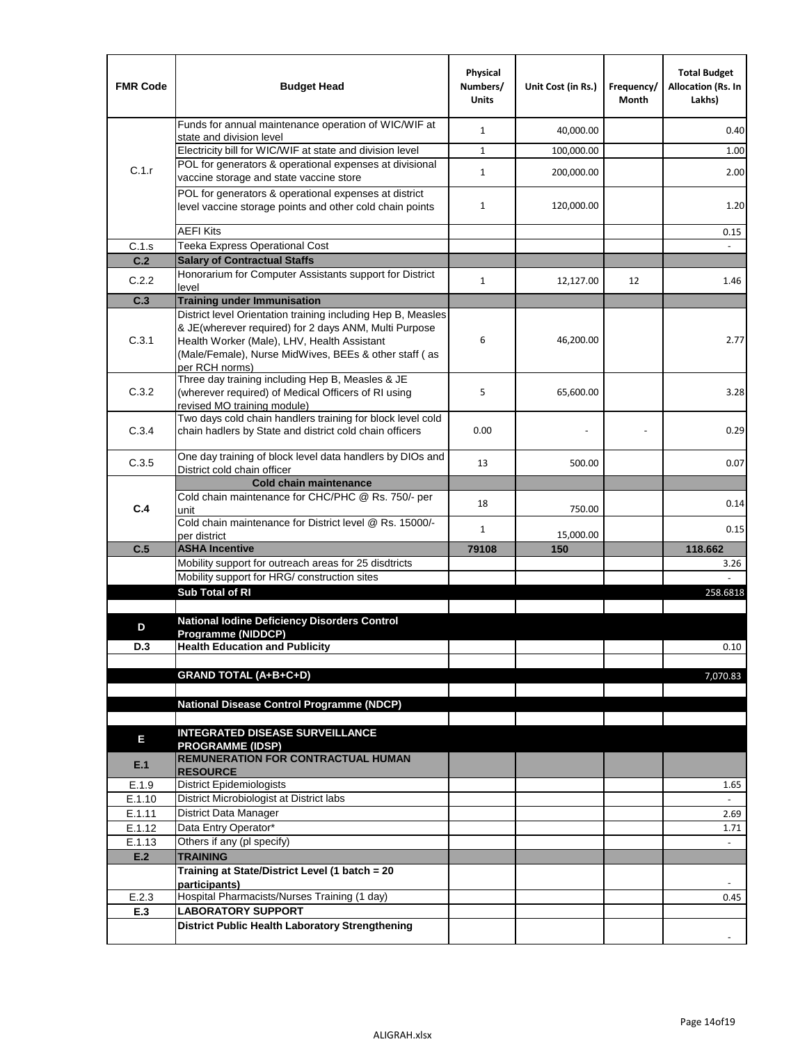| <b>FMR Code</b>  | <b>Budget Head</b>                                                                                                                                                              | Physical<br>Numbers/<br><b>Units</b> | Unit Cost (in Rs.) | Frequency/<br>Month | <b>Total Budget</b><br><b>Allocation (Rs. In</b><br>Lakhs) |
|------------------|---------------------------------------------------------------------------------------------------------------------------------------------------------------------------------|--------------------------------------|--------------------|---------------------|------------------------------------------------------------|
|                  | Funds for annual maintenance operation of WIC/WIF at<br>state and division level                                                                                                | $\mathbf{1}$                         | 40,000.00          |                     | 0.40                                                       |
|                  | Electricity bill for WIC/WIF at state and division level                                                                                                                        | $\mathbf{1}$                         | 100,000.00         |                     | 1.00                                                       |
| C.1.r            | POL for generators & operational expenses at divisional                                                                                                                         |                                      |                    |                     |                                                            |
|                  | vaccine storage and state vaccine store                                                                                                                                         | $\mathbf{1}$                         | 200,000.00         |                     | 2.00                                                       |
|                  | POL for generators & operational expenses at district<br>level vaccine storage points and other cold chain points                                                               | $\mathbf{1}$                         | 120,000.00         |                     | 1.20                                                       |
|                  | <b>AEFI Kits</b>                                                                                                                                                                |                                      |                    |                     | 0.15                                                       |
| C.1.s            | Teeka Express Operational Cost                                                                                                                                                  |                                      |                    |                     |                                                            |
| C.2              | <b>Salary of Contractual Staffs</b>                                                                                                                                             |                                      |                    |                     |                                                            |
| C.2.2            | Honorarium for Computer Assistants support for District<br>level                                                                                                                | $\mathbf{1}$                         | 12,127.00          | 12                  | 1.46                                                       |
| C.3              | <b>Training under Immunisation</b>                                                                                                                                              |                                      |                    |                     |                                                            |
|                  | District level Orientation training including Hep B, Measles                                                                                                                    |                                      |                    |                     |                                                            |
| C.3.1            | & JE(wherever required) for 2 days ANM, Multi Purpose<br>Health Worker (Male), LHV, Health Assistant<br>(Male/Female), Nurse MidWives, BEEs & other staff (as<br>per RCH norms) | 6                                    | 46,200.00          |                     | 2.77                                                       |
| C.3.2            | Three day training including Hep B, Measles & JE<br>(wherever required) of Medical Officers of RI using<br>revised MO training module)                                          | 5                                    | 65,600.00          |                     | 3.28                                                       |
| C.3.4            | Two days cold chain handlers training for block level cold<br>chain hadlers by State and district cold chain officers                                                           | 0.00                                 |                    |                     | 0.29                                                       |
| C.3.5            | One day training of block level data handlers by DIOs and<br>District cold chain officer                                                                                        | 13                                   | 500.00             |                     | 0.07                                                       |
|                  | <b>Cold chain maintenance</b>                                                                                                                                                   |                                      |                    |                     |                                                            |
| C.4              | Cold chain maintenance for CHC/PHC @ Rs. 750/- per<br>unit                                                                                                                      | 18                                   | 750.00             |                     | 0.14                                                       |
|                  | Cold chain maintenance for District level @ Rs. 15000/-<br>per district                                                                                                         | $\mathbf{1}$                         | 15,000.00          |                     | 0.15                                                       |
| C.5              | <b>ASHA Incentive</b>                                                                                                                                                           | 79108                                | 150                |                     | 118.662                                                    |
|                  | Mobility support for outreach areas for 25 disdtricts                                                                                                                           |                                      |                    |                     | 3.26                                                       |
|                  | Mobility support for HRG/ construction sites                                                                                                                                    |                                      |                    |                     |                                                            |
|                  | Sub Total of RI                                                                                                                                                                 |                                      |                    |                     | 258.6818                                                   |
| D                | <b>National Iodine Deficiency Disorders Control</b>                                                                                                                             |                                      |                    |                     |                                                            |
|                  | Programme (NIDDCP)                                                                                                                                                              |                                      |                    |                     |                                                            |
| D.3              | <b>Health Education and Publicity</b>                                                                                                                                           |                                      |                    |                     | 0.10                                                       |
|                  | <b>GRAND TOTAL (A+B+C+D)</b>                                                                                                                                                    |                                      |                    |                     | 7,070.83                                                   |
|                  |                                                                                                                                                                                 |                                      |                    |                     |                                                            |
|                  | <b>National Disease Control Programme (NDCP)</b>                                                                                                                                |                                      |                    |                     |                                                            |
|                  |                                                                                                                                                                                 |                                      |                    |                     |                                                            |
| Е                | <b>INTEGRATED DISEASE SURVEILLANCE</b>                                                                                                                                          |                                      |                    |                     |                                                            |
| E.1              | <b>PROGRAMME (IDSP)</b><br><b>REMUNERATION FOR CONTRACTUAL HUMAN</b><br><b>RESOURCE</b>                                                                                         |                                      |                    |                     |                                                            |
| E.1.9            | District Epidemiologists                                                                                                                                                        |                                      |                    |                     | 1.65                                                       |
| E.1.10           | District Microbiologist at District labs                                                                                                                                        |                                      |                    |                     |                                                            |
| E.1.11           | District Data Manager                                                                                                                                                           |                                      |                    |                     | 2.69                                                       |
| E.1.12<br>E.1.13 | Data Entry Operator*<br>Others if any (pl specify)                                                                                                                              |                                      |                    |                     | 1.71<br>$\omega$                                           |
| E.2              | <b>TRAINING</b>                                                                                                                                                                 |                                      |                    |                     |                                                            |
|                  | Training at State/District Level (1 batch = 20                                                                                                                                  |                                      |                    |                     |                                                            |
|                  | participants)                                                                                                                                                                   |                                      |                    |                     |                                                            |
| E.2.3            | Hospital Pharmacists/Nurses Training (1 day)                                                                                                                                    |                                      |                    |                     | 0.45                                                       |
| E.3              | <b>LABORATORY SUPPORT</b>                                                                                                                                                       |                                      |                    |                     |                                                            |
|                  | <b>District Public Health Laboratory Strengthening</b>                                                                                                                          |                                      |                    |                     |                                                            |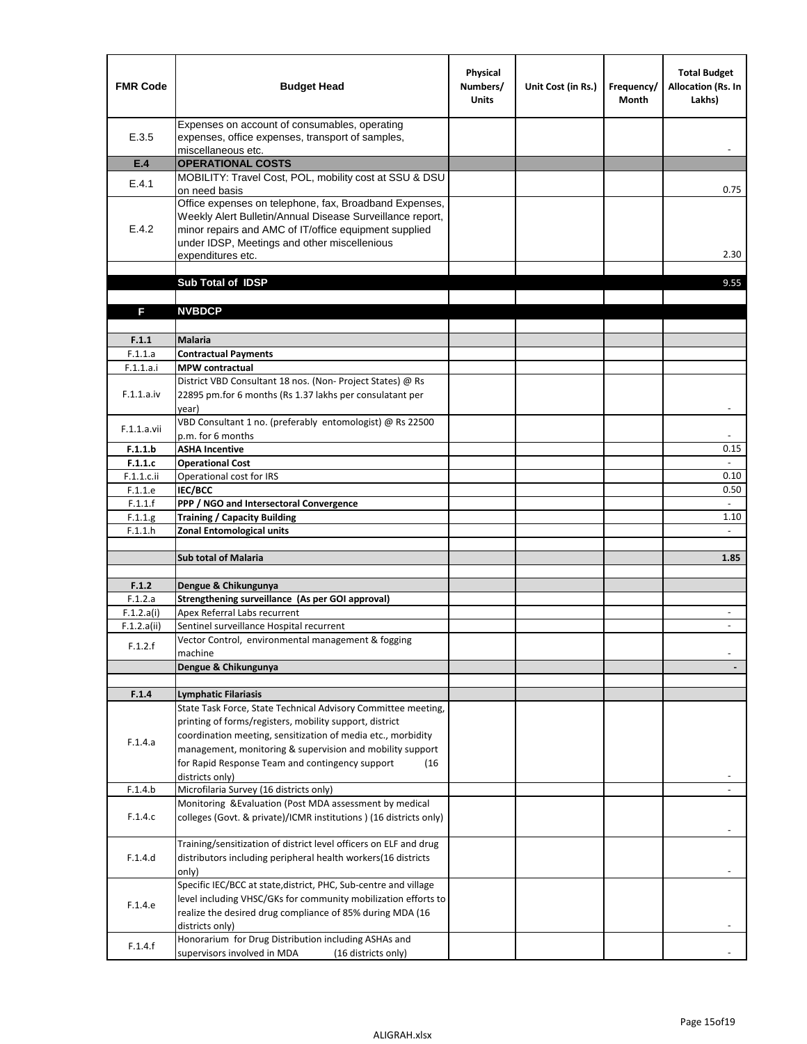| <b>FMR Code</b>       | <b>Budget Head</b>                                                                                                                                                                                                                                | Physical<br>Numbers/<br><b>Units</b> | Unit Cost (in Rs.) | Frequency/<br><b>Month</b> | <b>Total Budget</b><br><b>Allocation (Rs. In</b><br>Lakhs) |
|-----------------------|---------------------------------------------------------------------------------------------------------------------------------------------------------------------------------------------------------------------------------------------------|--------------------------------------|--------------------|----------------------------|------------------------------------------------------------|
| E.3.5                 | Expenses on account of consumables, operating<br>expenses, office expenses, transport of samples,<br>miscellaneous etc.                                                                                                                           |                                      |                    |                            |                                                            |
| E.4                   | <b>OPERATIONAL COSTS</b>                                                                                                                                                                                                                          |                                      |                    |                            |                                                            |
| E.4.1                 | MOBILITY: Travel Cost, POL, mobility cost at SSU & DSU                                                                                                                                                                                            |                                      |                    |                            |                                                            |
|                       | on need basis                                                                                                                                                                                                                                     |                                      |                    |                            | 0.75                                                       |
| E.4.2                 | Office expenses on telephone, fax, Broadband Expenses,<br>Weekly Alert Bulletin/Annual Disease Surveillance report,<br>minor repairs and AMC of IT/office equipment supplied<br>under IDSP, Meetings and other miscellenious<br>expenditures etc. |                                      |                    |                            | 2.30                                                       |
|                       | Sub Total of IDSP                                                                                                                                                                                                                                 |                                      |                    |                            | 9.55                                                       |
|                       |                                                                                                                                                                                                                                                   |                                      |                    |                            |                                                            |
| F                     | <b>NVBDCP</b>                                                                                                                                                                                                                                     |                                      |                    |                            |                                                            |
|                       |                                                                                                                                                                                                                                                   |                                      |                    |                            |                                                            |
| F.1.1                 | <b>Malaria</b>                                                                                                                                                                                                                                    |                                      |                    |                            |                                                            |
| F.1.1.a               | <b>Contractual Payments</b>                                                                                                                                                                                                                       |                                      |                    |                            |                                                            |
| F.1.1.a.i             | <b>MPW</b> contractual                                                                                                                                                                                                                            |                                      |                    |                            |                                                            |
| F.1.1.a.iv            | District VBD Consultant 18 nos. (Non-Project States) @ Rs<br>22895 pm.for 6 months (Rs 1.37 lakhs per consulatant per<br>year)                                                                                                                    |                                      |                    |                            | $\overline{\phantom{a}}$                                   |
|                       | VBD Consultant 1 no. (preferably entomologist) @ Rs 22500                                                                                                                                                                                         |                                      |                    |                            |                                                            |
| F.1.1.a.vii           | p.m. for 6 months                                                                                                                                                                                                                                 |                                      |                    |                            |                                                            |
| F.1.1.b               | <b>ASHA Incentive</b>                                                                                                                                                                                                                             |                                      |                    |                            | 0.15                                                       |
| F.1.1.c               | <b>Operational Cost</b>                                                                                                                                                                                                                           |                                      |                    |                            |                                                            |
| $F.1.1.c.$ ii         | Operational cost for IRS                                                                                                                                                                                                                          |                                      |                    |                            | 0.10                                                       |
| F.1.1.e<br>F.1.1.f    | <b>IEC/BCC</b><br>PPP / NGO and Intersectoral Convergence                                                                                                                                                                                         |                                      |                    |                            | 0.50<br>$\mathbb{L}$                                       |
| F.1.1.g               | <b>Training / Capacity Building</b>                                                                                                                                                                                                               |                                      |                    |                            | 1.10                                                       |
| F.1.1.h               | <b>Zonal Entomological units</b>                                                                                                                                                                                                                  |                                      |                    |                            |                                                            |
|                       |                                                                                                                                                                                                                                                   |                                      |                    |                            |                                                            |
|                       | <b>Sub total of Malaria</b>                                                                                                                                                                                                                       |                                      |                    |                            | 1.85                                                       |
|                       |                                                                                                                                                                                                                                                   |                                      |                    |                            |                                                            |
| F.1.2                 | Dengue & Chikungunya                                                                                                                                                                                                                              |                                      |                    |                            |                                                            |
| F.1.2.a<br>F.1.2.a(i) | Strengthening surveillance (As per GOI approval)<br>Apex Referral Labs recurrent                                                                                                                                                                  |                                      |                    |                            |                                                            |
| F.1.2.a(ii)           | Sentinel surveillance Hospital recurrent                                                                                                                                                                                                          |                                      |                    |                            | $\sim$                                                     |
|                       | Vector Control, environmental management & fogging                                                                                                                                                                                                |                                      |                    |                            |                                                            |
| F.1.2.f               | machine                                                                                                                                                                                                                                           |                                      |                    |                            |                                                            |
|                       | Dengue & Chikungunya                                                                                                                                                                                                                              |                                      |                    |                            |                                                            |
|                       |                                                                                                                                                                                                                                                   |                                      |                    |                            |                                                            |
| F.1.4                 | <b>Lymphatic Filariasis</b>                                                                                                                                                                                                                       |                                      |                    |                            |                                                            |
|                       | State Task Force, State Technical Advisory Committee meeting,<br>printing of forms/registers, mobility support, district                                                                                                                          |                                      |                    |                            |                                                            |
|                       | coordination meeting, sensitization of media etc., morbidity                                                                                                                                                                                      |                                      |                    |                            |                                                            |
| F.1.4.a               | management, monitoring & supervision and mobility support                                                                                                                                                                                         |                                      |                    |                            |                                                            |
|                       | for Rapid Response Team and contingency support<br>(16)                                                                                                                                                                                           |                                      |                    |                            |                                                            |
|                       | districts only)                                                                                                                                                                                                                                   |                                      |                    |                            |                                                            |
| F.1.4.b               | Microfilaria Survey (16 districts only)                                                                                                                                                                                                           |                                      |                    |                            |                                                            |
| F.1.4.c               | Monitoring & Evaluation (Post MDA assessment by medical<br>colleges (Govt. & private)/ICMR institutions ) (16 districts only)                                                                                                                     |                                      |                    |                            |                                                            |
|                       | Training/sensitization of district level officers on ELF and drug                                                                                                                                                                                 |                                      |                    |                            |                                                            |
| F.1.4.d               | distributors including peripheral health workers(16 districts                                                                                                                                                                                     |                                      |                    |                            |                                                            |
|                       | only)                                                                                                                                                                                                                                             |                                      |                    |                            |                                                            |
|                       | Specific IEC/BCC at state, district, PHC, Sub-centre and village                                                                                                                                                                                  |                                      |                    |                            |                                                            |
| F.1.4.e               | level including VHSC/GKs for community mobilization efforts to                                                                                                                                                                                    |                                      |                    |                            |                                                            |
|                       | realize the desired drug compliance of 85% during MDA (16                                                                                                                                                                                         |                                      |                    |                            |                                                            |
|                       | districts only)<br>Honorarium for Drug Distribution including ASHAs and                                                                                                                                                                           |                                      |                    |                            |                                                            |
| F.1.4.f               | supervisors involved in MDA<br>(16 districts only)                                                                                                                                                                                                |                                      |                    |                            |                                                            |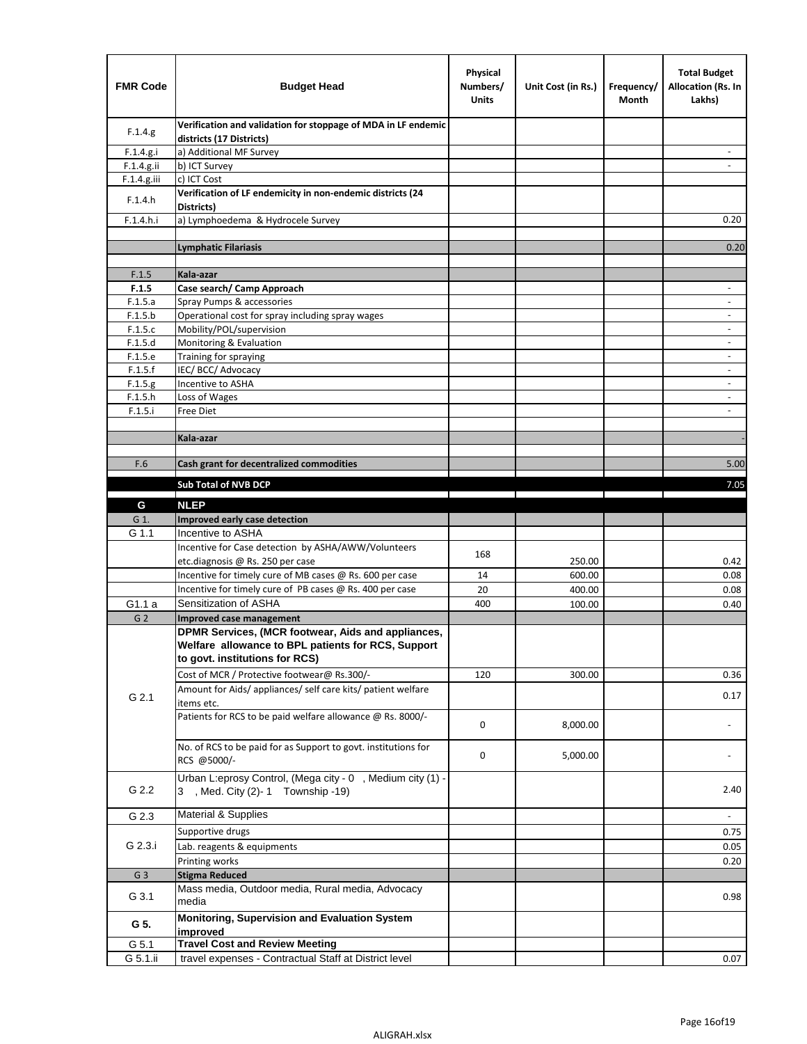| <b>FMR Code</b> | <b>Budget Head</b>                                                                                                                         | Physical<br>Numbers/<br><b>Units</b> | Unit Cost (in Rs.) | Frequency/<br>Month | <b>Total Budget</b><br><b>Allocation (Rs. In</b><br>Lakhs) |
|-----------------|--------------------------------------------------------------------------------------------------------------------------------------------|--------------------------------------|--------------------|---------------------|------------------------------------------------------------|
| F.1.4.g.        | Verification and validation for stoppage of MDA in LF endemic<br>districts (17 Districts)                                                  |                                      |                    |                     |                                                            |
| F.1.4.g.i       | a) Additional MF Survey                                                                                                                    |                                      |                    |                     |                                                            |
| F.1.4.g.ii      | b) ICT Survey                                                                                                                              |                                      |                    |                     |                                                            |
| $F.1.4.g.$ iii  | c) ICT Cost                                                                                                                                |                                      |                    |                     |                                                            |
| F.1.4.h         | Verification of LF endemicity in non-endemic districts (24<br>Districts)                                                                   |                                      |                    |                     |                                                            |
| F.1.4.h.i       | a) Lymphoedema & Hydrocele Survey                                                                                                          |                                      |                    |                     | 0.20                                                       |
|                 | Lymphatic Filariasis                                                                                                                       |                                      |                    |                     | 0.20                                                       |
|                 |                                                                                                                                            |                                      |                    |                     |                                                            |
| F.1.5           | Kala-azar                                                                                                                                  |                                      |                    |                     |                                                            |
| F.1.5           | Case search/ Camp Approach                                                                                                                 |                                      |                    |                     | $\overline{\phantom{a}}$                                   |
| F.1.5.a         | Spray Pumps & accessories                                                                                                                  |                                      |                    |                     | $\blacksquare$                                             |
| F.1.5.b         | Operational cost for spray including spray wages                                                                                           |                                      |                    |                     |                                                            |
| F.1.5.c         | Mobility/POL/supervision                                                                                                                   |                                      |                    |                     | $\overline{\phantom{a}}$                                   |
| F.1.5.d         | Monitoring & Evaluation                                                                                                                    |                                      |                    |                     |                                                            |
| F.1.5.e         | Training for spraying                                                                                                                      |                                      |                    |                     | $\blacksquare$                                             |
| F.1.5.f         | IEC/BCC/Advocacy                                                                                                                           |                                      |                    |                     | $\overline{a}$                                             |
| F.1.5.g         | Incentive to ASHA                                                                                                                          |                                      |                    |                     | $\overline{\phantom{a}}$                                   |
| F.1.5.h         | Loss of Wages                                                                                                                              |                                      |                    |                     | $\overline{\phantom{m}}$                                   |
| F.1.5.i         | Free Diet                                                                                                                                  |                                      |                    |                     |                                                            |
|                 |                                                                                                                                            |                                      |                    |                     |                                                            |
|                 | Kala-azar                                                                                                                                  |                                      |                    |                     |                                                            |
| F.6             | Cash grant for decentralized commodities                                                                                                   |                                      |                    |                     | 5.00                                                       |
|                 |                                                                                                                                            |                                      |                    |                     |                                                            |
|                 | <b>Sub Total of NVB DCP</b>                                                                                                                |                                      |                    |                     | 7.05                                                       |
| G               | <b>NLEP</b>                                                                                                                                |                                      |                    |                     |                                                            |
| G 1.            | Improved early case detection                                                                                                              |                                      |                    |                     |                                                            |
| G 1.1           | Incentive to ASHA                                                                                                                          |                                      |                    |                     |                                                            |
|                 | Incentive for Case detection by ASHA/AWW/Volunteers                                                                                        | 168                                  |                    |                     |                                                            |
|                 | etc.diagnosis @ Rs. 250 per case                                                                                                           |                                      | 250.00             |                     | 0.42                                                       |
|                 | Incentive for timely cure of MB cases @ Rs. 600 per case                                                                                   | 14                                   | 600.00             |                     | 0.08                                                       |
|                 | Incentive for timely cure of PB cases @ Rs. 400 per case                                                                                   | 20                                   | 400.00             |                     | 0.08                                                       |
| G1.1 a          | Sensitization of ASHA                                                                                                                      | 400                                  | 100.00             |                     | 0.40                                                       |
| G <sub>2</sub>  | <b>Improved case management</b>                                                                                                            |                                      |                    |                     |                                                            |
|                 | DPMR Services, (MCR footwear, Aids and appliances,<br>Welfare allowance to BPL patients for RCS, Support<br>to govt. institutions for RCS) |                                      |                    |                     |                                                            |
|                 | Cost of MCR / Protective footwear@ Rs.300/-                                                                                                | 120                                  | 300.00             |                     | 0.36                                                       |
| G 2.1           | Amount for Aids/ appliances/ self care kits/ patient welfare<br>items etc.                                                                 |                                      |                    |                     | 0.17                                                       |
|                 | Patients for RCS to be paid welfare allowance @ Rs. 8000/-                                                                                 | 0                                    | 8,000.00           |                     |                                                            |
|                 | No. of RCS to be paid for as Support to govt. institutions for<br>RCS @5000/-                                                              | 0                                    | 5,000.00           |                     |                                                            |
| G 2.2           | Urban L:eprosy Control, (Mega city - 0, Medium city (1) -<br>3 , Med. City (2)-1 Township -19)                                             |                                      |                    |                     | 2.40                                                       |
| G 2.3           | Material & Supplies                                                                                                                        |                                      |                    |                     | $\sim$                                                     |
|                 | Supportive drugs                                                                                                                           |                                      |                    |                     | 0.75                                                       |
| G 2.3.i         | Lab. reagents & equipments                                                                                                                 |                                      |                    |                     | 0.05                                                       |
|                 | Printing works                                                                                                                             |                                      |                    |                     | 0.20                                                       |
| G <sub>3</sub>  | <b>Stigma Reduced</b>                                                                                                                      |                                      |                    |                     |                                                            |
|                 | Mass media, Outdoor media, Rural media, Advocacy                                                                                           |                                      |                    |                     |                                                            |
| G 3.1           | media<br>Monitoring, Supervision and Evaluation System                                                                                     |                                      |                    |                     | 0.98                                                       |
| G 5.            | improved<br><b>Travel Cost and Review Meeting</b>                                                                                          |                                      |                    |                     |                                                            |
| G 5.1           |                                                                                                                                            |                                      |                    |                     |                                                            |
| G 5.1.ii        | travel expenses - Contractual Staff at District level                                                                                      |                                      |                    |                     | 0.07                                                       |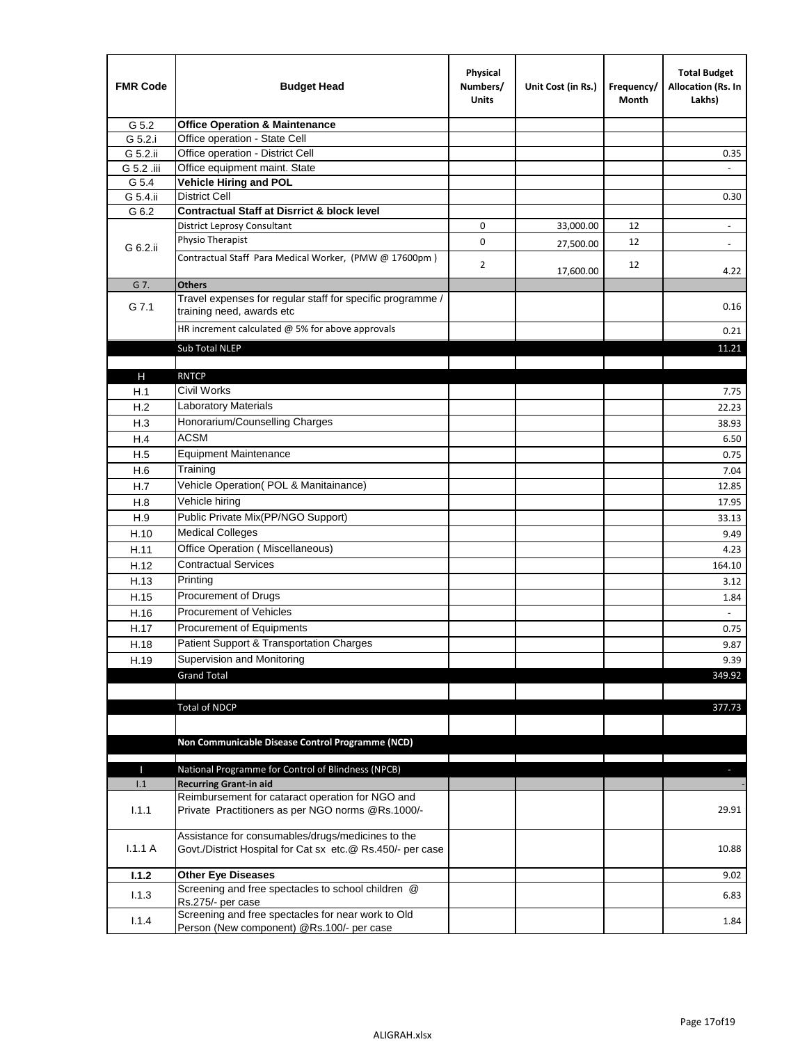| <b>FMR Code</b> | <b>Budget Head</b>                                                                                              | Physical<br>Numbers/<br><b>Units</b> | Unit Cost (in Rs.) | Frequency/<br>Month | <b>Total Budget</b><br>Allocation (Rs. In<br>Lakhs) |
|-----------------|-----------------------------------------------------------------------------------------------------------------|--------------------------------------|--------------------|---------------------|-----------------------------------------------------|
| G 5.2           | <b>Office Operation &amp; Maintenance</b>                                                                       |                                      |                    |                     |                                                     |
| G 5.2.i         | Office operation - State Cell                                                                                   |                                      |                    |                     |                                                     |
| G 5.2.ii        | Office operation - District Cell                                                                                |                                      |                    |                     | 0.35                                                |
| G 5.2 .iii      | Office equipment maint. State                                                                                   |                                      |                    |                     |                                                     |
| G 5.4           | <b>Vehicle Hiring and POL</b>                                                                                   |                                      |                    |                     |                                                     |
| G 5.4.ii        | <b>District Cell</b>                                                                                            |                                      |                    |                     | 0.30                                                |
| G 6.2           | <b>Contractual Staff at Disrrict &amp; block level</b>                                                          |                                      |                    |                     |                                                     |
|                 | <b>District Leprosy Consultant</b>                                                                              | 0                                    | 33,000.00          | 12                  |                                                     |
| G 6.2.ii        | Physio Therapist                                                                                                | 0                                    | 27,500.00          | 12                  | $\overline{\phantom{a}}$                            |
|                 | Contractual Staff Para Medical Worker, (PMW @ 17600pm)                                                          | 2                                    | 17,600.00          | 12                  | 4.22                                                |
| G 7.            | <b>Others</b>                                                                                                   |                                      |                    |                     |                                                     |
| G 7.1           | Travel expenses for regular staff for specific programme /<br>training need, awards etc                         |                                      |                    |                     | 0.16                                                |
|                 | HR increment calculated $@$ 5% for above approvals                                                              |                                      |                    |                     | 0.21                                                |
|                 | Sub Total NLEP                                                                                                  |                                      |                    |                     | 11.21                                               |
|                 |                                                                                                                 |                                      |                    |                     |                                                     |
| н               | <b>RNTCP</b>                                                                                                    |                                      |                    |                     |                                                     |
| H.1             | Civil Works                                                                                                     |                                      |                    |                     | 7.75                                                |
| H.2             | Laboratory Materials                                                                                            |                                      |                    |                     | 22.23                                               |
| H.3             | Honorarium/Counselling Charges                                                                                  |                                      |                    |                     | 38.93                                               |
| H.4             | <b>ACSM</b>                                                                                                     |                                      |                    |                     | 6.50                                                |
| H.5             | <b>Equipment Maintenance</b>                                                                                    |                                      |                    |                     | 0.75                                                |
| H.6             | Training                                                                                                        |                                      |                    |                     | 7.04                                                |
| H.7             | Vehicle Operation(POL & Manitainance)                                                                           |                                      |                    |                     | 12.85                                               |
| H.8             | Vehicle hiring                                                                                                  |                                      |                    |                     | 17.95                                               |
| H.9             | Public Private Mix(PP/NGO Support)                                                                              |                                      |                    |                     | 33.13                                               |
| H.10            | <b>Medical Colleges</b>                                                                                         |                                      |                    |                     | 9.49                                                |
| H.11            | Office Operation (Miscellaneous)                                                                                |                                      |                    |                     | 4.23                                                |
| H.12            | <b>Contractual Services</b>                                                                                     |                                      |                    |                     | 164.10                                              |
| H.13            | Printing                                                                                                        |                                      |                    |                     | 3.12                                                |
| H.15            | Procurement of Drugs                                                                                            |                                      |                    |                     | 1.84                                                |
|                 | Procurement of Vehicles                                                                                         |                                      |                    |                     | $\omega$                                            |
| H.16            | Procurement of Equipments                                                                                       |                                      |                    |                     |                                                     |
| H.17            |                                                                                                                 |                                      |                    |                     | 0.75                                                |
| H.18            | Patient Support & Transportation Charges<br>Supervision and Monitoring                                          |                                      |                    |                     | 9.87                                                |
| H.19            |                                                                                                                 |                                      |                    |                     | 9.39                                                |
|                 | <b>Grand Total</b>                                                                                              |                                      |                    |                     | 349.92                                              |
|                 |                                                                                                                 |                                      |                    |                     |                                                     |
|                 | <b>Total of NDCP</b>                                                                                            |                                      |                    |                     | 377.73                                              |
|                 |                                                                                                                 |                                      |                    |                     |                                                     |
|                 | Non Communicable Disease Control Programme (NCD)                                                                |                                      |                    |                     |                                                     |
| П               | National Programme for Control of Blindness (NPCB)                                                              |                                      |                    |                     | $\overline{\phantom{a}}$                            |
| 1.1             | <b>Recurring Grant-in aid</b>                                                                                   |                                      |                    |                     |                                                     |
|                 | Reimbursement for cataract operation for NGO and                                                                |                                      |                    |                     |                                                     |
| 1.1.1           | Private Practitioners as per NGO norms @Rs.1000/-                                                               |                                      |                    |                     | 29.91                                               |
| 1.1.1A          | Assistance for consumables/drugs/medicines to the<br>Govt./District Hospital for Cat sx etc.@ Rs.450/- per case |                                      |                    |                     | 10.88                                               |
| 1.1.2           | <b>Other Eye Diseases</b>                                                                                       |                                      |                    |                     | 9.02                                                |
|                 | Screening and free spectacles to school children @                                                              |                                      |                    |                     |                                                     |
| 1.1.3           | Rs.275/- per case                                                                                               |                                      |                    |                     | 6.83                                                |
| 1.1.4           | Screening and free spectacles for near work to Old                                                              |                                      |                    |                     | 1.84                                                |
|                 | Person (New component) @Rs.100/- per case                                                                       |                                      |                    |                     |                                                     |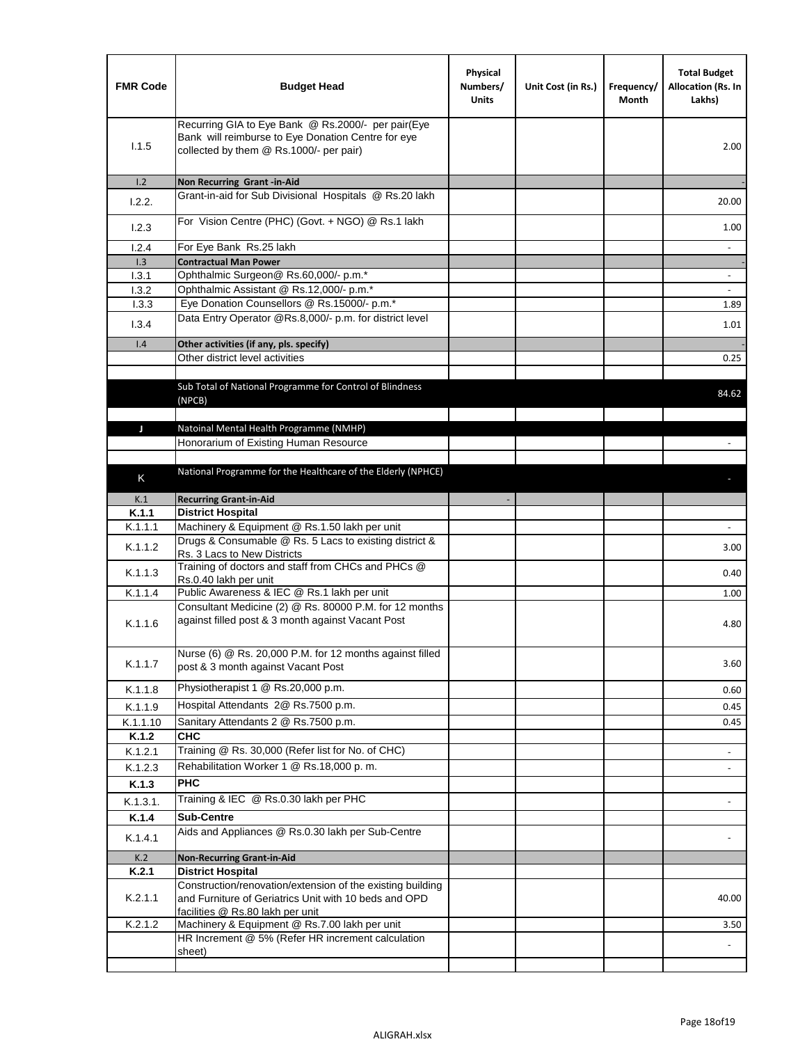| <b>FMR Code</b>  | <b>Budget Head</b>                                                                                                                                      | Physical<br>Numbers/<br><b>Units</b> | Unit Cost (in Rs.) | Frequency/<br>Month | <b>Total Budget</b><br>Allocation (Rs. In<br>Lakhs) |
|------------------|---------------------------------------------------------------------------------------------------------------------------------------------------------|--------------------------------------|--------------------|---------------------|-----------------------------------------------------|
| 1.1.5            | Recurring GIA to Eye Bank @ Rs.2000/- per pair(Eye<br>Bank will reimburse to Eye Donation Centre for eye<br>collected by them @ Rs.1000/- per pair)     |                                      |                    |                     | 2.00                                                |
| 1.2              | Non Recurring Grant -in-Aid                                                                                                                             |                                      |                    |                     |                                                     |
| 1.2.2.           | Grant-in-aid for Sub Divisional Hospitals @ Rs.20 lakh                                                                                                  |                                      |                    |                     | 20.00                                               |
| 1.2.3            | For Vision Centre (PHC) (Govt. + NGO) @ Rs.1 lakh                                                                                                       |                                      |                    |                     | 1.00                                                |
| 1.2.4            | For Eye Bank Rs.25 lakh                                                                                                                                 |                                      |                    |                     | $\blacksquare$                                      |
| 1.3              | <b>Contractual Man Power</b>                                                                                                                            |                                      |                    |                     |                                                     |
| 1.3.1<br>1.3.2   | Ophthalmic Surgeon@ Rs.60,000/- p.m.*<br>Ophthalmic Assistant @ Rs.12,000/- p.m.*                                                                       |                                      |                    |                     |                                                     |
| 1.3.3            | Eye Donation Counsellors @ Rs.15000/- p.m.*                                                                                                             |                                      |                    |                     | 1.89                                                |
|                  | Data Entry Operator @Rs.8,000/- p.m. for district level                                                                                                 |                                      |                    |                     |                                                     |
| 1.3.4            |                                                                                                                                                         |                                      |                    |                     | 1.01                                                |
| 1.4              | Other activities (if any, pls. specify)                                                                                                                 |                                      |                    |                     |                                                     |
|                  | Other district level activities                                                                                                                         |                                      |                    |                     | 0.25                                                |
|                  | Sub Total of National Programme for Control of Blindness<br>(NPCB)                                                                                      |                                      |                    |                     | 84.62                                               |
| J                | Natoinal Mental Health Programme (NMHP)                                                                                                                 |                                      |                    |                     |                                                     |
|                  | Honorarium of Existing Human Resource                                                                                                                   |                                      |                    |                     |                                                     |
|                  |                                                                                                                                                         |                                      |                    |                     |                                                     |
| K                | National Programme for the Healthcare of the Elderly (NPHCE)                                                                                            |                                      |                    |                     |                                                     |
|                  |                                                                                                                                                         |                                      |                    |                     |                                                     |
| K.1              | <b>Recurring Grant-in-Aid</b>                                                                                                                           |                                      |                    |                     |                                                     |
| K.1.1<br>K.1.1.1 | <b>District Hospital</b><br>Machinery & Equipment @ Rs.1.50 lakh per unit                                                                               |                                      |                    |                     |                                                     |
|                  | Drugs & Consumable @ Rs. 5 Lacs to existing district &                                                                                                  |                                      |                    |                     |                                                     |
| K.1.1.2          | Rs. 3 Lacs to New Districts                                                                                                                             |                                      |                    |                     | 3.00                                                |
| K.1.1.3          | Training of doctors and staff from CHCs and PHCs @<br>Rs.0.40 lakh per unit                                                                             |                                      |                    |                     | 0.40                                                |
| K.1.1.4          | Public Awareness & IEC @ Rs.1 lakh per unit                                                                                                             |                                      |                    |                     | 1.00                                                |
| K.1.1.6          | Consultant Medicine (2) @ Rs. 80000 P.M. for 12 months<br>against filled post & 3 month against Vacant Post                                             |                                      |                    |                     | 4.80                                                |
| K.1.1.7          | Nurse (6) @ Rs. 20,000 P.M. for 12 months against filled<br>post & 3 month against Vacant Post                                                          |                                      |                    |                     | 3.60                                                |
| K.1.1.8          | Physiotherapist 1 @ Rs.20,000 p.m.                                                                                                                      |                                      |                    |                     | 0.60                                                |
| K.1.1.9          | Hospital Attendants 2@ Rs.7500 p.m.                                                                                                                     |                                      |                    |                     | 0.45                                                |
| K.1.1.10         | Sanitary Attendants 2 @ Rs.7500 p.m.                                                                                                                    |                                      |                    |                     | 0.45                                                |
| K.1.2            | <b>CHC</b>                                                                                                                                              |                                      |                    |                     |                                                     |
| K.1.2.1          | Training @ Rs. 30,000 (Refer list for No. of CHC)                                                                                                       |                                      |                    |                     |                                                     |
| K.1.2.3          | Rehabilitation Worker 1 @ Rs.18,000 p.m.                                                                                                                |                                      |                    |                     |                                                     |
| K.1.3            | <b>PHC</b>                                                                                                                                              |                                      |                    |                     |                                                     |
| K.1.3.1.         | Training & IEC @ Rs.0.30 lakh per PHC                                                                                                                   |                                      |                    |                     |                                                     |
| K.1.4            | <b>Sub-Centre</b>                                                                                                                                       |                                      |                    |                     |                                                     |
| K.1.4.1          | Aids and Appliances @ Rs.0.30 lakh per Sub-Centre                                                                                                       |                                      |                    |                     |                                                     |
| K.2              | <b>Non-Recurring Grant-in-Aid</b>                                                                                                                       |                                      |                    |                     |                                                     |
| K.2.1            | <b>District Hospital</b>                                                                                                                                |                                      |                    |                     |                                                     |
| K.2.1.1          | Construction/renovation/extension of the existing building<br>and Furniture of Geriatrics Unit with 10 beds and OPD<br>facilities @ Rs.80 lakh per unit |                                      |                    |                     | 40.00                                               |
| K.2.1.2          | Machinery & Equipment @ Rs.7.00 lakh per unit                                                                                                           |                                      |                    |                     | 3.50                                                |
|                  | HR Increment @ 5% (Refer HR increment calculation                                                                                                       |                                      |                    |                     |                                                     |
|                  | sheet)                                                                                                                                                  |                                      |                    |                     |                                                     |